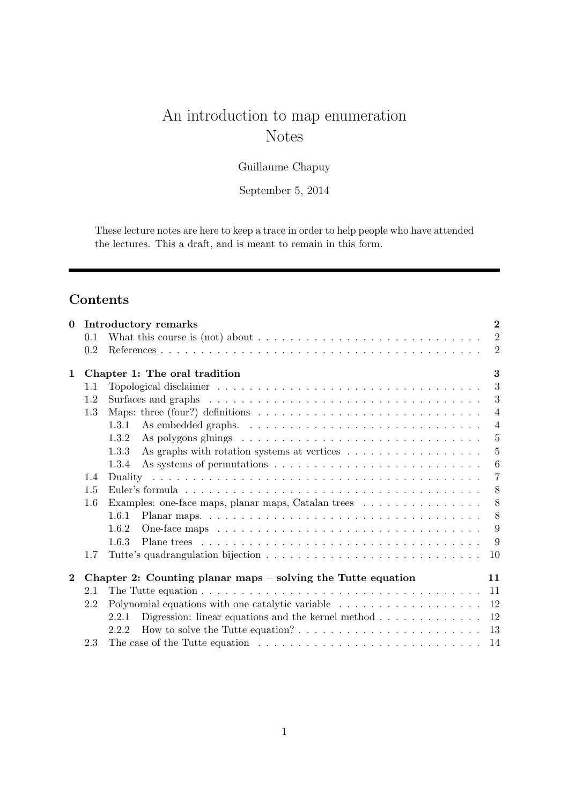# An introduction to map enumeration Notes

Guillaume Chapuy

September 5, 2014

These lecture notes are here to keep a trace in order to help people who have attended the lectures. This a draft, and is meant to remain in this form.

## Contents

| $\bf{0}$     |     | Introductory remarks                                                                                              | $\overline{2}$ |
|--------------|-----|-------------------------------------------------------------------------------------------------------------------|----------------|
|              | 0.1 | What this course is (not) about $\dots \dots \dots \dots \dots \dots \dots \dots \dots \dots \dots$               | $\overline{2}$ |
|              | 0.2 |                                                                                                                   | $\overline{2}$ |
| $\mathbf{1}$ |     | Chapter 1: The oral tradition                                                                                     | 3              |
|              | 1.1 |                                                                                                                   | 3              |
|              | 1.2 | Surfaces and graphs $\dots \dots \dots \dots \dots \dots \dots \dots \dots \dots \dots \dots \dots \dots$         | 3              |
|              | 1.3 | Maps: three (four?) definitions $\ldots \ldots \ldots \ldots \ldots \ldots \ldots \ldots \ldots \ldots$           | $\overline{4}$ |
|              |     | 1.3.1                                                                                                             | $\overline{4}$ |
|              |     | 1.3.2                                                                                                             | 5              |
|              |     | 1.3.3                                                                                                             | $\overline{5}$ |
|              |     | 1.3.4                                                                                                             | -6             |
|              | 1.4 |                                                                                                                   | 7              |
|              | 1.5 |                                                                                                                   | 8              |
|              | 1.6 | Examples: one-face maps, planar maps, Catalan trees                                                               | 8              |
|              |     | 1.6.1                                                                                                             | 8              |
|              |     | 1.6.2                                                                                                             | 9              |
|              |     | 1.6.3                                                                                                             | 9              |
|              | 1.7 |                                                                                                                   | 10             |
| $\bf{2}$     |     | Chapter 2: Counting planar maps $-$ solving the Tutte equation                                                    | 11             |
|              | 2.1 |                                                                                                                   | -11            |
|              | 2.2 |                                                                                                                   | 12             |
|              |     | 2.2.1                                                                                                             | 12             |
|              |     | How to solve the Tutte equation? $\ldots$ $\ldots$ $\ldots$ $\ldots$ $\ldots$ $\ldots$ $\ldots$ $\ldots$<br>2.2.2 | 13             |
|              | 2.3 | The case of the Tutte equation $\dots \dots \dots \dots \dots \dots \dots \dots \dots \dots \dots$                | -14            |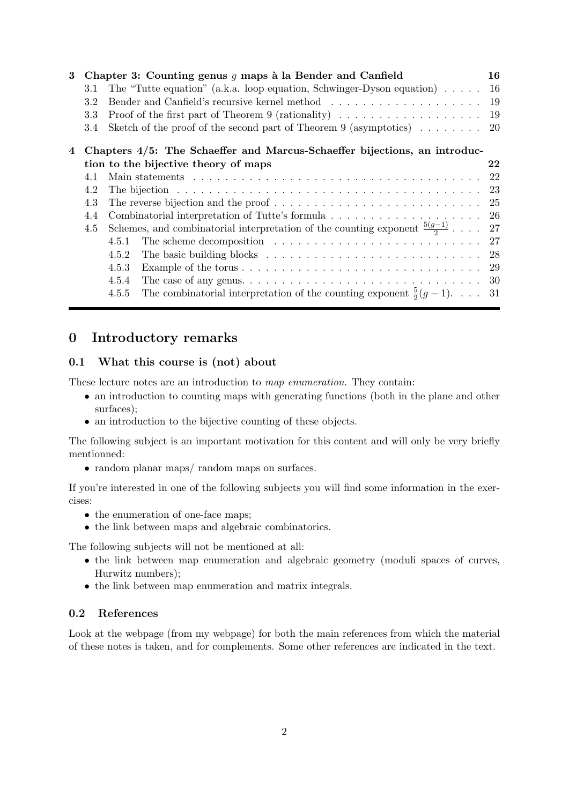| 3 |         | Chapter 3: Counting genus $g$ maps à la Bender and Canfield                                                   | 16 |
|---|---------|---------------------------------------------------------------------------------------------------------------|----|
|   | 3.1     | The "Tutte equation" (a.k.a. loop equation, Schwinger-Dyson equation) $\dots$ .                               | 16 |
|   | 3.2     |                                                                                                               |    |
|   | $3.3\,$ | Proof of the first part of Theorem 9 (rationality) $\dots \dots \dots \dots \dots \dots \dots$                |    |
|   | 3.4     | Sketch of the proof of the second part of Theorem 9 (asymptotics) $\ldots \ldots$ 20                          |    |
| 4 |         | Chapters 4/5: The Schaeffer and Marcus-Schaeffer bijections, an introduc-                                     |    |
|   |         | tion to the bijective theory of maps                                                                          | 22 |
|   | 4.1     |                                                                                                               |    |
|   | 4.2     |                                                                                                               |    |
|   | 4.3     |                                                                                                               |    |
|   | 4.4     |                                                                                                               |    |
|   | 4.5     | Schemes, and combinatorial interpretation of the counting exponent $\frac{5(g-1)}{2}$ 27                      |    |
|   |         | The scheme decomposition $\ldots \ldots \ldots \ldots \ldots \ldots \ldots \ldots \ldots 27$<br>4.5.1         |    |
|   |         | The basic building blocks $\ldots \ldots \ldots \ldots \ldots \ldots \ldots \ldots \ldots \ldots 28$<br>4.5.2 |    |
|   |         | 4.5.3                                                                                                         |    |
|   |         | 4.5.4                                                                                                         |    |
|   |         | The combinatorial interpretation of the counting exponent $\frac{5}{2}(g-1)$ 31<br>4.5.5                      |    |
|   |         |                                                                                                               |    |

## 0 Introductory remarks

## 0.1 What this course is (not) about

These lecture notes are an introduction to map enumeration. They contain:

- an introduction to counting maps with generating functions (both in the plane and other surfaces);
- an introduction to the bijective counting of these objects.

The following subject is an important motivation for this content and will only be very briefly mentionned:

• random planar maps/ random maps on surfaces.

If you're interested in one of the following subjects you will find some information in the exercises:

- the enumeration of one-face maps;
- the link between maps and algebraic combinatorics.

The following subjects will not be mentioned at all:

- the link between map enumeration and algebraic geometry (moduli spaces of curves, Hurwitz numbers);
- the link between map enumeration and matrix integrals.

## 0.2 References

Look at the webpage (from my webpage) for both the main references from which the material of these notes is taken, and for complements. Some other references are indicated in the text.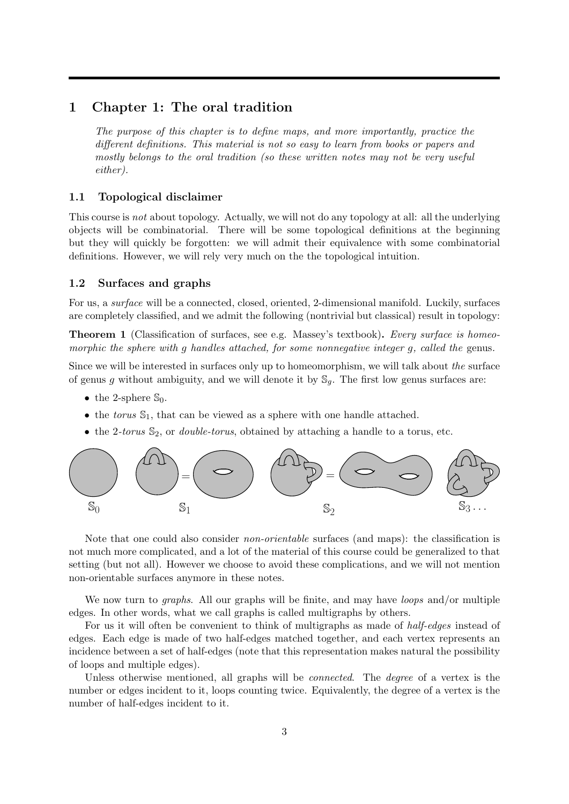## 1 Chapter 1: The oral tradition

The purpose of this chapter is to define maps, and more importantly, practice the different definitions. This material is not so easy to learn from books or papers and mostly belongs to the oral tradition (so these written notes may not be very useful either).

#### 1.1 Topological disclaimer

This course is not about topology. Actually, we will not do any topology at all: all the underlying objects will be combinatorial. There will be some topological definitions at the beginning but they will quickly be forgotten: we will admit their equivalence with some combinatorial definitions. However, we will rely very much on the the topological intuition.

#### 1.2 Surfaces and graphs

For us, a surface will be a connected, closed, oriented, 2-dimensional manifold. Luckily, surfaces are completely classified, and we admit the following (nontrivial but classical) result in topology:

**Theorem 1** (Classification of surfaces, see e.g. Massey's textbook). Every surface is homeomorphic the sphere with q handles attached, for some nonnegative integer q, called the genus.

Since we will be interested in surfaces only up to homeomorphism, we will talk about the surface of genus g without ambiguity, and we will denote it by  $\mathcal{S}_q$ . The first low genus surfaces are:

- the 2-sphere  $\mathbb{S}_0$ .
- the torus  $\mathbb{S}_1$ , that can be viewed as a sphere with one handle attached.
- the 2-torus  $\mathcal{S}_2$ , or *double-torus*, obtained by attaching a handle to a torus, etc.



Note that one could also consider *non-orientable* surfaces (and maps): the classification is not much more complicated, and a lot of the material of this course could be generalized to that setting (but not all). However we choose to avoid these complications, and we will not mention non-orientable surfaces anymore in these notes.

We now turn to *graphs*. All our graphs will be finite, and may have *loops* and/or multiple edges. In other words, what we call graphs is called multigraphs by others.

For us it will often be convenient to think of multigraphs as made of half-edges instead of edges. Each edge is made of two half-edges matched together, and each vertex represents an incidence between a set of half-edges (note that this representation makes natural the possibility of loops and multiple edges).

Unless otherwise mentioned, all graphs will be *connected*. The *degree* of a vertex is the number or edges incident to it, loops counting twice. Equivalently, the degree of a vertex is the number of half-edges incident to it.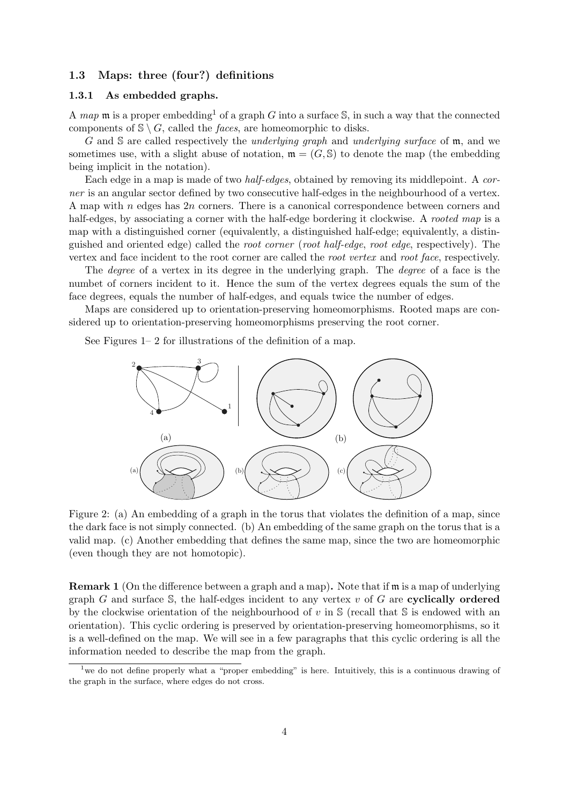## 1.3 Maps: three (four?) definitions

#### 1.3.1 As embedded graphs.

A map m is a proper embedding<sup>1</sup> of a graph G into a surface  $\mathbb{S}$ , in such a way that the connected components of  $\mathcal{S} \setminus G$ , called the *faces*, are homeomorphic to disks.

G and S are called respectively the *underlying graph* and *underlying surface* of  $m$ , and we sometimes use, with a slight abuse of notation,  $\mathfrak{m} = (G, \mathbb{S})$  to denote the map (the embedding being implicit in the notation).

Each edge in a map is made of two half-edges, obtained by removing its middlepoint. A corner is an angular sector defined by two consecutive half-edges in the neighbourhood of a vertex. A map with n edges has  $2n$  corners. There is a canonical correspondence between corners and half-edges, by associating a corner with the half-edge bordering it clockwise. A rooted map is a map with a distinguished corner (equivalently, a distinguished half-edge; equivalently, a distinguished and oriented edge) called the root corner (root half-edge, root edge, respectively). The vertex and face incident to the root corner are called the root vertex and root face, respectively.

The degree of a vertex in its degree in the underlying graph. The degree of a face is the numbet of corners incident to it. Hence the sum of the vertex degrees equals the sum of the face degrees, equals the number of half-edges, and equals twice the number of edges.

Maps are considered up to orientation-preserving homeomorphisms. Rooted maps are considered up to orientation-preserving homeomorphisms preserving the root corner.

See Figures 1– 2 for illustrations of the definition of a map.



Figure 2: (a) An embedding of a graph in the torus that violates the definition of a map, since the dark face is not simply connected. (b) An embedding of the same graph on the torus that is a valid map. (c) Another embedding that defines the same map, since the two are homeomorphic (even though they are not homotopic).

Remark 1 (On the difference between a graph and a map). Note that if m is a map of underlying graph G and surface S, the half-edges incident to any vertex  $v$  of G are cyclically ordered by the clockwise orientation of the neighbourhood of  $v$  in  $\mathcal S$  (recall that  $\mathcal S$  is endowed with an orientation). This cyclic ordering is preserved by orientation-preserving homeomorphisms, so it is a well-defined on the map. We will see in a few paragraphs that this cyclic ordering is all the information needed to describe the map from the graph.

<sup>&</sup>lt;sup>1</sup> we do not define properly what a "proper embedding" is here. Intuitively, this is a continuous drawing of the graph in the surface, where edges do not cross.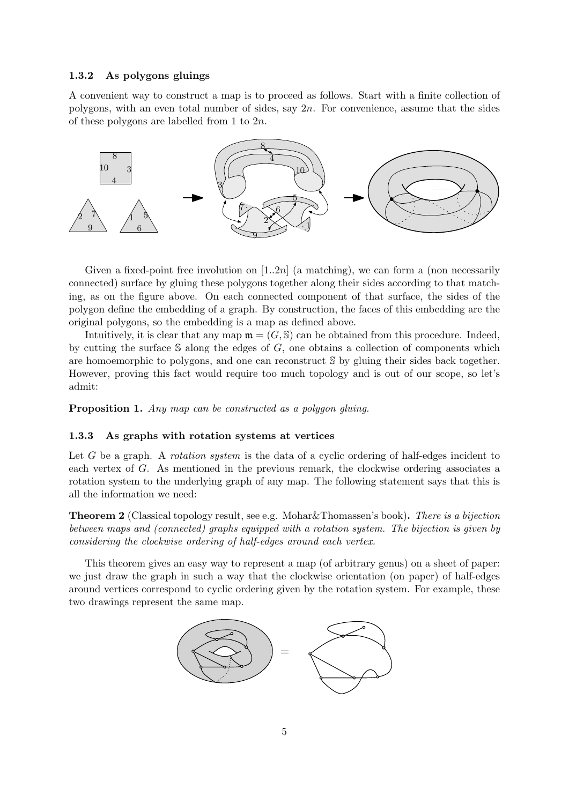#### 1.3.2 As polygons gluings

A convenient way to construct a map is to proceed as follows. Start with a finite collection of polygons, with an even total number of sides, say  $2n$ . For convenience, assume that the sides of these polygons are labelled from 1 to 2n.



Given a fixed-point free involution on [1..2n] (a matching), we can form a (non necessarily connected) surface by gluing these polygons together along their sides according to that matching, as on the figure above. On each connected component of that surface, the sides of the polygon define the embedding of a graph. By construction, the faces of this embedding are the original polygons, so the embedding is a map as defined above.

Intuitively, it is clear that any map  $\mathfrak{m} = (G, \mathbb{S})$  can be obtained from this procedure. Indeed, by cutting the surface  $S$  along the edges of  $G$ , one obtains a collection of components which are homoemorphic to polygons, and one can reconstruct S by gluing their sides back together. However, proving this fact would require too much topology and is out of our scope, so let's admit:

Proposition 1. Any map can be constructed as a polygon gluing.

#### 1.3.3 As graphs with rotation systems at vertices

Let G be a graph. A *rotation system* is the data of a cyclic ordering of half-edges incident to each vertex of G. As mentioned in the previous remark, the clockwise ordering associates a rotation system to the underlying graph of any map. The following statement says that this is all the information we need:

Theorem 2 (Classical topology result, see e.g. Mohar&Thomassen's book). There is a bijection between maps and (connected) graphs equipped with a rotation system. The bijection is given by considering the clockwise ordering of half-edges around each vertex.

This theorem gives an easy way to represent a map (of arbitrary genus) on a sheet of paper: we just draw the graph in such a way that the clockwise orientation (on paper) of half-edges around vertices correspond to cyclic ordering given by the rotation system. For example, these two drawings represent the same map.

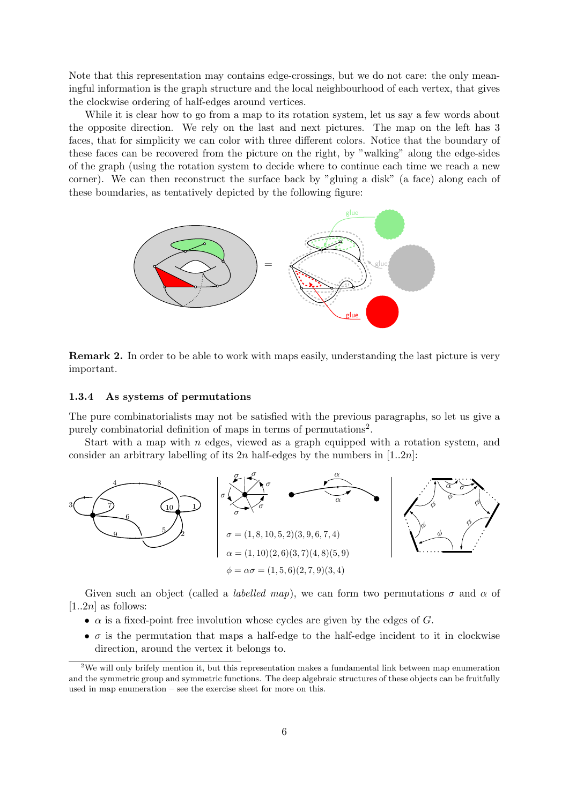Note that this representation may contains edge-crossings, but we do not care: the only meaningful information is the graph structure and the local neighbourhood of each vertex, that gives the clockwise ordering of half-edges around vertices.

While it is clear how to go from a map to its rotation system, let us say a few words about the opposite direction. We rely on the last and next pictures. The map on the left has 3 faces, that for simplicity we can color with three different colors. Notice that the boundary of these faces can be recovered from the picture on the right, by "walking" along the edge-sides of the graph (using the rotation system to decide where to continue each time we reach a new corner). We can then reconstruct the surface back by "gluing a disk" (a face) along each of these boundaries, as tentatively depicted by the following figure:



Remark 2. In order to be able to work with maps easily, understanding the last picture is very important.

#### 1.3.4 As systems of permutations

The pure combinatorialists may not be satisfied with the previous paragraphs, so let us give a purely combinatorial definition of maps in terms of permutations<sup>2</sup>.

Start with a map with  $n$  edges, viewed as a graph equipped with a rotation system, and consider an arbitrary labelling of its  $2n$  half-edges by the numbers in [1..2n]:



Given such an object (called a *labelled map*), we can form two permutations  $\sigma$  and  $\alpha$  of  $[1..2n]$  as follows:

- $\alpha$  is a fixed-point free involution whose cycles are given by the edges of G.
- $\sigma$  is the permutation that maps a half-edge to the half-edge incident to it in clockwise direction, around the vertex it belongs to.

<sup>2</sup>We will only brifely mention it, but this representation makes a fundamental link between map enumeration and the symmetric group and symmetric functions. The deep algebraic structures of these objects can be fruitfully used in map enumeration – see the exercise sheet for more on this.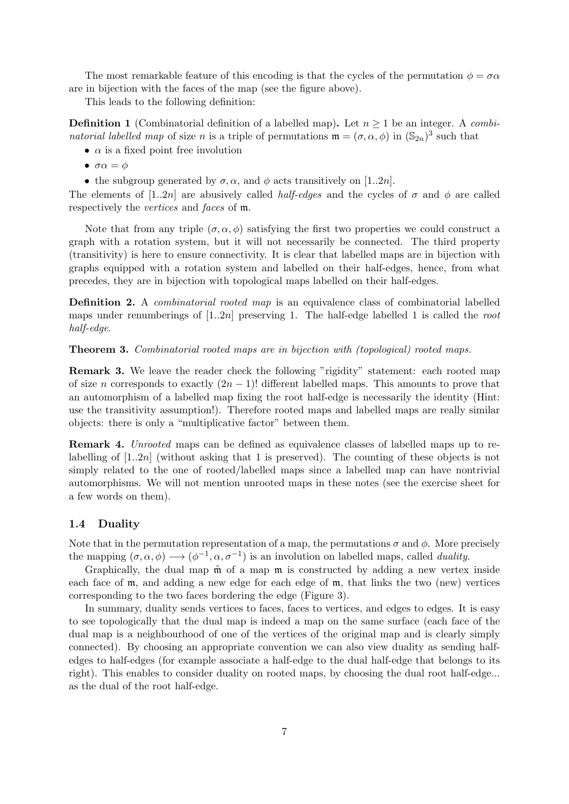The most remarkable feature of this encoding is that the cycles of the permutation  $\phi = \sigma \alpha$ are in bijection with the faces of the map (see the figure above).

This leads to the following definition:

**Definition 1** (Combinatorial definition of a labelled map). Let  $n \geq 1$  be an integer. A combinatorial labelled map of size n is a triple of permutations  $\mathfrak{m} = (\sigma, \alpha, \phi)$  in  $(\mathbb{S}_{2n})^3$  such that

- $\alpha$  is a fixed point free involution
- $\bullet \ \sigma\alpha = \phi$
- the subgroup generated by  $\sigma$ ,  $\alpha$ , and  $\phi$  acts transitively on [1..2n].

The elements of [1..2n] are abusively called *half-edges* and the cycles of  $\sigma$  and  $\phi$  are called respectively the vertices and faces of m.

Note that from any triple  $(\sigma, \alpha, \phi)$  satisfying the first two properties we could construct a graph with a rotation system, but it will not necessarily be connected. The third property (transitivity) is here to ensure connectivity. It is clear that labelled maps are in bijection with graphs equipped with a rotation system and labelled on their half-edges, hence, from what precedes, they are in bijection with topological maps labelled on their half-edges.

Definition 2. A combinatorial rooted map is an equivalence class of combinatorial labelled maps under renumberings of  $[1..2n]$  preserving 1. The half-edge labelled 1 is called the root half-edge.

Theorem 3. Combinatorial rooted maps are in bijection with (topological) rooted maps.

Remark 3. We leave the reader check the following "rigidity" statement: each rooted map of size n corresponds to exactly  $(2n - 1)!$  different labelled maps. This amounts to prove that an automorphism of a labelled map fixing the root half-edge is necessarily the identity (Hint: use the transitivity assumption!). Therefore rooted maps and labelled maps are really similar objects: there is only a "multiplicative factor" between them.

Remark 4. Unrooted maps can be defined as equivalence classes of labelled maps up to relabelling of [1..2n] (without asking that 1 is preserved). The counting of these objects is not simply related to the one of rooted/labelled maps since a labelled map can have nontrivial automorphisms. We will not mention unrooted maps in these notes (see the exercise sheet for a few words on them).

## 1.4 Duality

Note that in the permutation representation of a map, the permutations  $\sigma$  and  $\phi$ . More precisely the mapping  $(\sigma, \alpha, \phi) \longrightarrow (\phi^{-1}, \alpha, \sigma^{-1})$  is an involution on labelled maps, called *duality*.

Graphically, the dual map  $\tilde{m}$  of a map  $m$  is constructed by adding a new vertex inside each face of  $m$ , and adding a new edge for each edge of  $m$ , that links the two (new) vertices corresponding to the two faces bordering the edge (Figure 3).

In summary, duality sends vertices to faces, faces to vertices, and edges to edges. It is easy to see topologically that the dual map is indeed a map on the same surface (each face of the dual map is a neighbourhood of one of the vertices of the original map and is clearly simply connected). By choosing an appropriate convention we can also view duality as sending halfedges to half-edges (for example associate a half-edge to the dual half-edge that belongs to its right). This enables to consider duality on rooted maps, by choosing the dual root half-edge... as the dual of the root half-edge.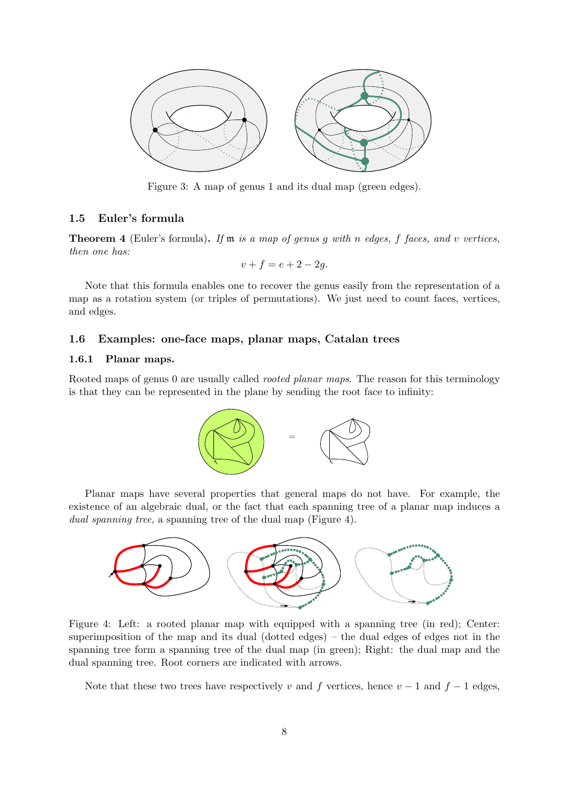

Figure 3: A map of genus 1 and its dual map (green edges).

## 1.5 Euler's formula

**Theorem 4** (Euler's formula). If  $m$  is a map of genus q with n edges, f faces, and v vertices, then one has:

$$
v + f = e + 2 - 2g.
$$

Note that this formula enables one to recover the genus easily from the representation of a map as a rotation system (or triples of permutations). We just need to count faces, vertices, and edges.

## 1.6 Examples: one-face maps, planar maps, Catalan trees

## 1.6.1 Planar maps.

Rooted maps of genus 0 are usually called *rooted planar maps*. The reason for this terminology is that they can be represented in the plane by sending the root face to infinity:



Planar maps have several properties that general maps do not have. For example, the existence of an algebraic dual, or the fact that each spanning tree of a planar map induces a dual spanning tree, a spanning tree of the dual map (Figure 4).



Figure 4: Left: a rooted planar map with equipped with a spanning tree (in red); Center: superimposition of the map and its dual (dotted edges) – the dual edges of edges not in the spanning tree form a spanning tree of the dual map (in green); Right: the dual map and the dual spanning tree. Root corners are indicated with arrows.

Note that these two trees have respectively v and f vertices, hence  $v - 1$  and  $f - 1$  edges,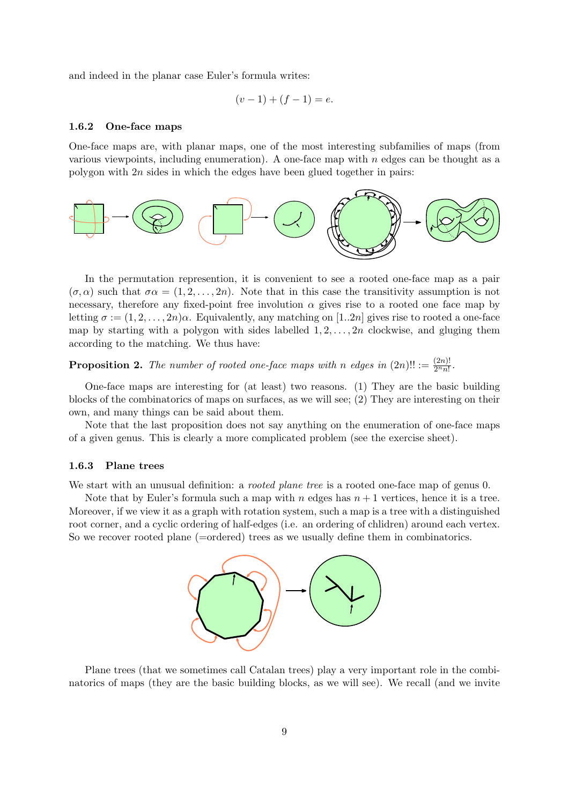and indeed in the planar case Euler's formula writes:

$$
(v-1) + (f-1) = e.
$$

#### 1.6.2 One-face maps

One-face maps are, with planar maps, one of the most interesting subfamilies of maps (from various viewpoints, including enumeration). A one-face map with  $n$  edges can be thought as a polygon with 2n sides in which the edges have been glued together in pairs:



In the permutation represention, it is convenient to see a rooted one-face map as a pair  $(\sigma, \alpha)$  such that  $\sigma \alpha = (1, 2, \ldots, 2n)$ . Note that in this case the transitivity assumption is not necessary, therefore any fixed-point free involution  $\alpha$  gives rise to a rooted one face map by letting  $\sigma := (1, 2, \ldots, 2n)\alpha$ . Equivalently, any matching on [1..2n] gives rise to rooted a one-face map by starting with a polygon with sides labelled  $1, 2, \ldots, 2n$  clockwise, and gluging them according to the matching. We thus have:

**Proposition 2.** The number of rooted one-face maps with n edges in  $(2n)!! := \frac{(2n)!}{2^n n!}$ .

One-face maps are interesting for (at least) two reasons. (1) They are the basic building blocks of the combinatorics of maps on surfaces, as we will see; (2) They are interesting on their own, and many things can be said about them.

Note that the last proposition does not say anything on the enumeration of one-face maps of a given genus. This is clearly a more complicated problem (see the exercise sheet).

#### 1.6.3 Plane trees

We start with an unusual definition: a *rooted plane tree* is a rooted one-face map of genus 0.

Note that by Euler's formula such a map with n edges has  $n+1$  vertices, hence it is a tree. Moreover, if we view it as a graph with rotation system, such a map is a tree with a distinguished root corner, and a cyclic ordering of half-edges (i.e. an ordering of chlidren) around each vertex. So we recover rooted plane (=ordered) trees as we usually define them in combinatorics.



Plane trees (that we sometimes call Catalan trees) play a very important role in the combinatorics of maps (they are the basic building blocks, as we will see). We recall (and we invite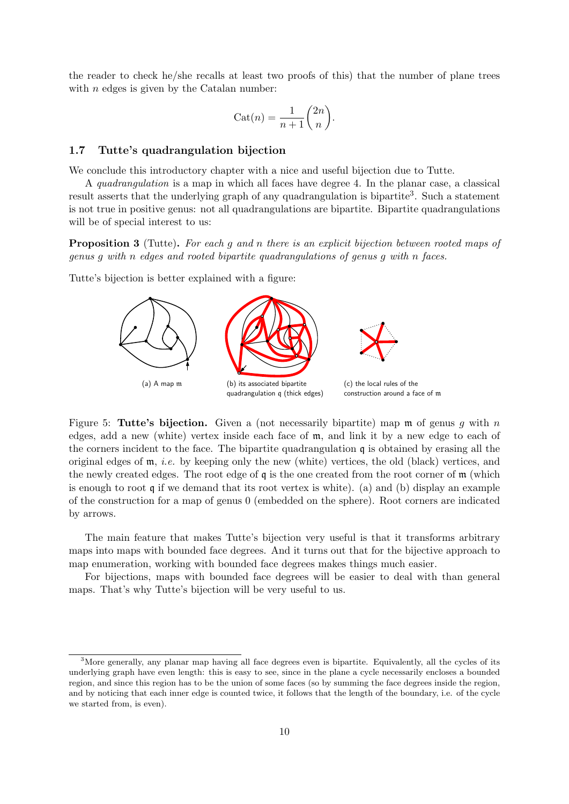the reader to check he/she recalls at least two proofs of this) that the number of plane trees with  $n$  edges is given by the Catalan number:

$$
Cat(n) = \frac{1}{n+1} \binom{2n}{n}.
$$

#### 1.7 Tutte's quadrangulation bijection

We conclude this introductory chapter with a nice and useful bijection due to Tutte.

A quadrangulation is a map in which all faces have degree 4. In the planar case, a classical result asserts that the underlying graph of any quadrangulation is bipartite<sup>3</sup>. Such a statement is not true in positive genus: not all quadrangulations are bipartite. Bipartite quadrangulations will be of special interest to us:

**Proposition 3** (Tutte). For each g and n there is an explicit bijection between rooted maps of genus g with n edges and rooted bipartite quadrangulations of genus g with n faces.

Tutte's bijection is better explained with a figure:



Figure 5: Tutte's bijection. Given a (not necessarily bipartite) map  $m$  of genus q with n edges, add a new (white) vertex inside each face of m, and link it by a new edge to each of the corners incident to the face. The bipartite quadrangulation q is obtained by erasing all the original edges of m, i.e. by keeping only the new (white) vertices, the old (black) vertices, and the newly created edges. The root edge of q is the one created from the root corner of m (which is enough to root q if we demand that its root vertex is white). (a) and (b) display an example of the construction for a map of genus 0 (embedded on the sphere). Root corners are indicated by arrows.

The main feature that makes Tutte's bijection very useful is that it transforms arbitrary maps into maps with bounded face degrees. And it turns out that for the bijective approach to map enumeration, working with bounded face degrees makes things much easier.

For bijections, maps with bounded face degrees will be easier to deal with than general maps. That's why Tutte's bijection will be very useful to us.

<sup>&</sup>lt;sup>3</sup>More generally, any planar map having all face degrees even is bipartite. Equivalently, all the cycles of its underlying graph have even length: this is easy to see, since in the plane a cycle necessarily encloses a bounded region, and since this region has to be the union of some faces (so by summing the face degrees inside the region, and by noticing that each inner edge is counted twice, it follows that the length of the boundary, i.e. of the cycle we started from, is even).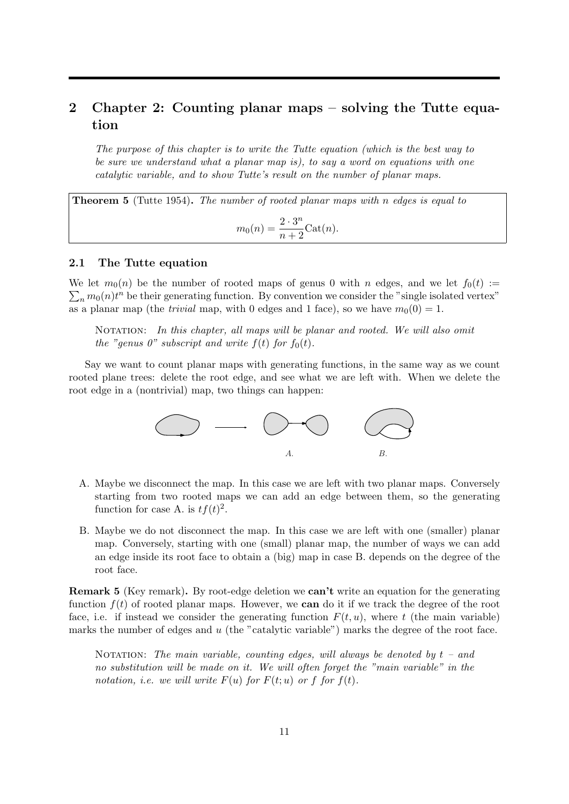## 2 Chapter 2: Counting planar maps – solving the Tutte equation

The purpose of this chapter is to write the Tutte equation (which is the best way to be sure we understand what a planar map is), to say a word on equations with one catalytic variable, and to show Tutte's result on the number of planar maps.

**Theorem 5** (Tutte 1954). The number of rooted planar maps with n edges is equal to  $m_0(n) = \frac{2 \cdot 3^n}{n+3}$  $\frac{1}{n+2}$ Cat $(n)$ .

#### 2.1 The Tutte equation

We let  $m_0(n)$  be the number of rooted maps of genus 0 with n edges, and we let  $f_0(t) :=$  $\sum_n m_0(n)t^n$  be their generating function. By convention we consider the "single isolated vertex" as a planar map (the *trivial* map, with 0 edges and 1 face), so we have  $m_0(0) = 1$ .

NOTATION: In this chapter, all maps will be planar and rooted. We will also omit the "genus 0" subscript and write  $f(t)$  for  $f_0(t)$ .

Say we want to count planar maps with generating functions, in the same way as we count rooted plane trees: delete the root edge, and see what we are left with. When we delete the root edge in a (nontrivial) map, two things can happen:



- A. Maybe we disconnect the map. In this case we are left with two planar maps. Conversely starting from two rooted maps we can add an edge between them, so the generating function for case A. is  $tf(t)^2$ .
- B. Maybe we do not disconnect the map. In this case we are left with one (smaller) planar map. Conversely, starting with one (small) planar map, the number of ways we can add an edge inside its root face to obtain a (big) map in case B. depends on the degree of the root face.

Remark 5 (Key remark). By root-edge deletion we can't write an equation for the generating function  $f(t)$  of rooted planar maps. However, we **can** do it if we track the degree of the root face, i.e. if instead we consider the generating function  $F(t, u)$ , where t (the main variable) marks the number of edges and  $u$  (the "catalytic variable") marks the degree of the root face.

NOTATION: The main variable, counting edges, will always be denoted by  $t - and$ no substitution will be made on it. We will often forget the "main variable" in the notation, i.e. we will write  $F(u)$  for  $F(t; u)$  or f for  $f(t)$ .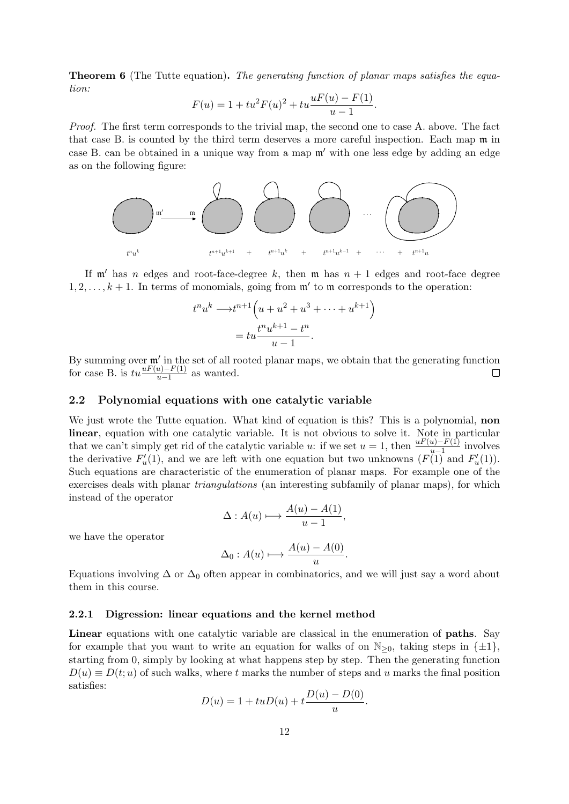**Theorem 6** (The Tutte equation). The generating function of planar maps satisfies the equation:

$$
F(u) = 1 + tu^2 F(u)^2 + tu \frac{uF(u) - F(1)}{u - 1}.
$$

Proof. The first term corresponds to the trivial map, the second one to case A. above. The fact that case B. is counted by the third term deserves a more careful inspection. Each map m in case B. can be obtained in a unique way from a map  $\mathfrak{m}'$  with one less edge by adding an edge as on the following figure:



If  $\mathfrak{m}'$  has n edges and root-face-degree k, then  $\mathfrak{m}$  has  $n + 1$  edges and root-face degree  $1, 2, \ldots, k+1$ . In terms of monomials, going from  $\mathfrak{m}'$  to  $\mathfrak{m}$  corresponds to the operation:

$$
t^n u^k \longrightarrow t^{n+1} \left( u + u^2 + u^3 + \dots + u^{k+1} \right)
$$

$$
= tu \frac{t^n u^{k+1} - t^n}{u - 1}.
$$

By summing over  $\mathfrak{m}'$  in the set of all rooted planar maps, we obtain that the generating function for case B. is  $tu \frac{uF(u)-F(1)}{u-1}$  as wanted.

#### 2.2 Polynomial equations with one catalytic variable

We just wrote the Tutte equation. What kind of equation is this? This is a polynomial, **non** linear, equation with one catalytic variable. It is not obvious to solve it. Note in particular that we can't simply get rid of the catalytic variable u: if we set  $u = 1$ , then  $\frac{uF(u)-F(1)}{u-1}$  involves the derivative  $F'_u(1)$ , and we are left with one equation but two unknowns  $(F(1))$  and  $F'_u(1)$ . Such equations are characteristic of the enumeration of planar maps. For example one of the exercises deals with planar triangulations (an interesting subfamily of planar maps), for which instead of the operator

$$
\Delta: A(u) \longmapsto \frac{A(u) - A(1)}{u - 1},
$$

we have the operator

$$
\Delta_0: A(u) \longmapsto \frac{A(u) - A(0)}{u}.
$$

Equations involving  $\Delta$  or  $\Delta_0$  often appear in combinatorics, and we will just say a word about them in this course.

#### 2.2.1 Digression: linear equations and the kernel method

Linear equations with one catalytic variable are classical in the enumeration of **paths**. Say for example that you want to write an equation for walks of on  $\mathbb{N}_{>0}$ , taking steps in  $\{\pm 1\}$ , starting from 0, simply by looking at what happens step by step. Then the generating function  $D(u) \equiv D(t; u)$  of such walks, where t marks the number of steps and u marks the final position satisfies:

$$
D(u) = 1 + tuD(u) + t\frac{D(u) - D(0)}{u}.
$$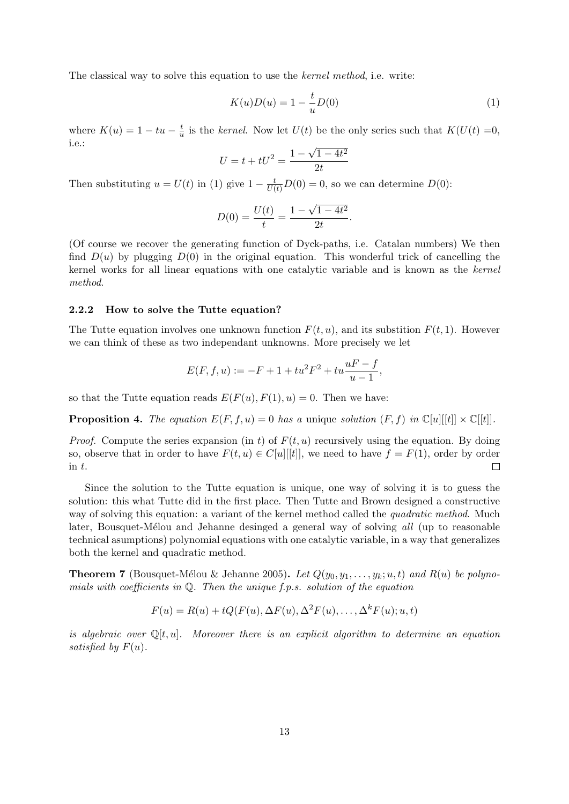The classical way to solve this equation to use the kernel method, i.e. write:

$$
K(u)D(u) = 1 - \frac{t}{u}D(0)
$$
\n(1)

where  $K(u) = 1 - tu - \frac{t}{u}$  $\frac{t}{u}$  is the kernel. Now let  $U(t)$  be the only series such that  $K(U(t) = 0,$ i.e.:

$$
U = t + tU^2 = \frac{1 - \sqrt{1 - 4t^2}}{2t}
$$

Then substituting  $u = U(t)$  in (1) give  $1 - \frac{t}{U(t)}D(0) = 0$ , so we can determine  $D(0)$ :

$$
D(0) = \frac{U(t)}{t} = \frac{1 - \sqrt{1 - 4t^2}}{2t}.
$$

(Of course we recover the generating function of Dyck-paths, i.e. Catalan numbers) We then find  $D(u)$  by plugging  $D(0)$  in the original equation. This wonderful trick of cancelling the kernel works for all linear equations with one catalytic variable and is known as the kernel method.

#### 2.2.2 How to solve the Tutte equation?

The Tutte equation involves one unknown function  $F(t, u)$ , and its substition  $F(t, 1)$ . However we can think of these as two independant unknowns. More precisely we let

$$
E(F, f, u) := -F + 1 + tu^2 F^2 + tu \frac{uF - f}{u - 1},
$$

so that the Tutte equation reads  $E(F(u), F(1), u) = 0$ . Then we have:

**Proposition 4.** The equation  $E(F, f, u) = 0$  has a unique solution  $(F, f)$  in  $\mathbb{C}[u][[t]] \times \mathbb{C}[t]$ .

*Proof.* Compute the series expansion (in t) of  $F(t, u)$  recursively using the equation. By doing so, observe that in order to have  $F(t, u) \in C[u][[t]]$ , we need to have  $f = F(1)$ , order by order in t. in t.

Since the solution to the Tutte equation is unique, one way of solving it is to guess the solution: this what Tutte did in the first place. Then Tutte and Brown designed a constructive way of solving this equation: a variant of the kernel method called the *quadratic method*. Much later, Bousquet-Mélou and Jehanne desinged a general way of solving all (up to reasonable technical asumptions) polynomial equations with one catalytic variable, in a way that generalizes both the kernel and quadratic method.

**Theorem 7** (Bousquet-Mélou & Jehanne 2005). Let  $Q(y_0, y_1, \ldots, y_k; u, t)$  and  $R(u)$  be polynomials with coefficients in  $Q$ . Then the unique f.p.s. solution of the equation

$$
F(u) = R(u) + tQ(F(u), \Delta F(u), \Delta^2 F(u), \dots, \Delta^k F(u); u, t)
$$

is algebraic over  $\mathbb{Q}[t, u]$ . Moreover there is an explicit algorithm to determine an equation satisfied by  $F(u)$ .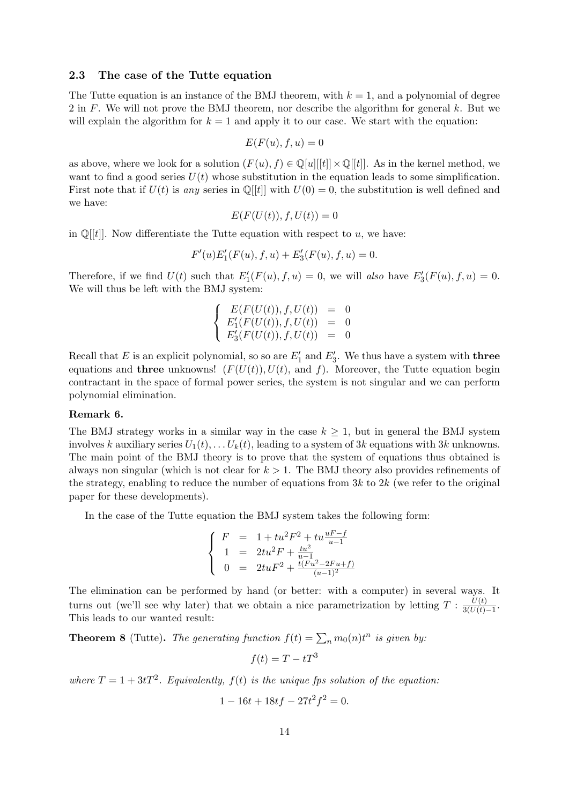#### 2.3 The case of the Tutte equation

The Tutte equation is an instance of the BMJ theorem, with  $k = 1$ , and a polynomial of degree 2 in F. We will not prove the BMJ theorem, nor describe the algorithm for general  $k$ . But we will explain the algorithm for  $k = 1$  and apply it to our case. We start with the equation:

$$
E(F(u), f, u) = 0
$$

as above, where we look for a solution  $(F(u), f) \in \mathbb{Q}[u][t]] \times \mathbb{Q}[t]$ . As in the kernel method, we want to find a good series  $U(t)$  whose substitution in the equation leads to some simplification. First note that if  $U(t)$  is any series in  $\mathbb{Q}[t]$  with  $U(0) = 0$ , the substitution is well defined and we have:

$$
E(F(U(t)), f, U(t)) = 0
$$

in  $\mathbb{Q}[[t]]$ . Now differentiate the Tutte equation with respect to u, we have:

$$
F'(u)E'_1(F(u), f, u) + E'_3(F(u), f, u) = 0.
$$

Therefore, if we find  $U(t)$  such that  $E'_1(F(u), f, u) = 0$ , we will also have  $E'_3(F(u), f, u) = 0$ . We will thus be left with the BMJ system:

$$
\begin{cases}\nE(F(U(t)), f, U(t)) &= 0 \\
E'_1(F(U(t)), f, U(t)) &= 0 \\
E'_3(F(U(t)), f, U(t)) &= 0\n\end{cases}
$$

Recall that E is an explicit polynomial, so so are  $E'_1$  and  $E'_3$ . We thus have a system with **three** equations and **three** unknowns!  $(F(U(t)), U(t),$  and f). Moreover, the Tutte equation begin contractant in the space of formal power series, the system is not singular and we can perform polynomial elimination.

#### Remark 6.

The BMJ strategy works in a similar way in the case  $k \geq 1$ , but in general the BMJ system involves k auxiliary series  $U_1(t), \ldots U_k(t)$ , leading to a system of 3k equations with 3k unknowns. The main point of the BMJ theory is to prove that the system of equations thus obtained is always non singular (which is not clear for  $k > 1$ . The BMJ theory also provides refinements of the strategy, enabling to reduce the number of equations from  $3k$  to  $2k$  (we refer to the original paper for these developments).

In the case of the Tutte equation the BMJ system takes the following form:

$$
\left\{ \begin{array}{rcl} F & = & 1+tu^2F^2+tu\frac{uF-f}{u-1} \\ 1 & = & 2tu^2F+\frac{tu^2}{u-1} \\ 0 & = & 2tuF^2+\frac{t(Fu^2-2Fu+f)}{(u-1)^2} \end{array} \right.
$$

The elimination can be performed by hand (or better: with a computer) in several ways. It turns out (we'll see why later) that we obtain a nice parametrization by letting  $T : \frac{U(t)}{3(II(t))}$  $\frac{U(t)}{3(U(t)-1)}$ . This leads to our wanted result:

**Theorem 8** (Tutte). The generating function  $f(t) = \sum_n m_0(n) t^n$  is given by:

$$
f(t) = T - tT^3
$$

where  $T = 1 + 3tT^2$ . Equivalently,  $f(t)$  is the unique fps solution of the equation:

$$
1 - 16t + 18tf - 27t^2f^2 = 0.
$$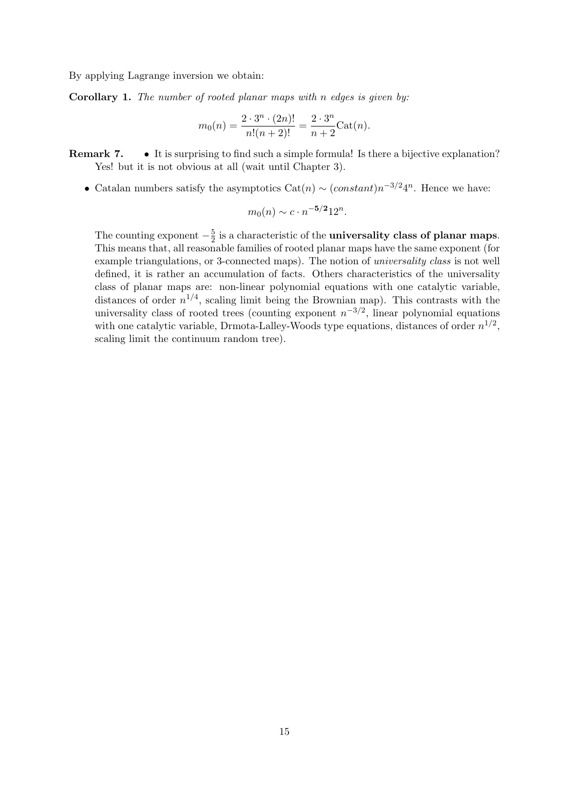By applying Lagrange inversion we obtain:

Corollary 1. The number of rooted planar maps with n edges is given by:

$$
m_0(n) = \frac{2 \cdot 3^n \cdot (2n)!}{n!(n+2)!} = \frac{2 \cdot 3^n}{n+2} \text{Cat}(n).
$$

Remark 7. • It is surprising to find such a simple formula! Is there a bijective explanation? Yes! but it is not obvious at all (wait until Chapter 3).

• Catalan numbers satisfy the asymptotics  $\text{Cat}(n) \sim (constant)n^{-3/2}4^n$ . Hence we have:

$$
m_0(n) \sim c \cdot n^{-5/2} 12^n
$$
.

The counting exponent  $-\frac{5}{2}$  $\frac{5}{2}$  is a characteristic of the **universality class of planar maps**. This means that, all reasonable families of rooted planar maps have the same exponent (for example triangulations, or 3-connected maps). The notion of universality class is not well defined, it is rather an accumulation of facts. Others characteristics of the universality class of planar maps are: non-linear polynomial equations with one catalytic variable, distances of order  $n^{1/4}$ , scaling limit being the Brownian map). This contrasts with the universality class of rooted trees (counting exponent  $n^{-3/2}$ , linear polynomial equations with one catalytic variable, Drmota-Lalley-Woods type equations, distances of order  $n^{1/2}$ , scaling limit the continuum random tree).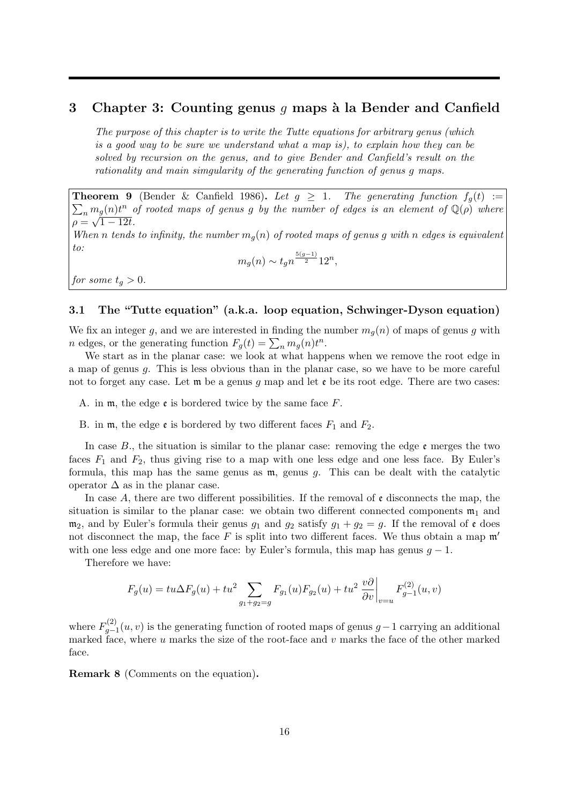## 3 Chapter 3: Counting genus q maps à la Bender and Canfield

The purpose of this chapter is to write the Tutte equations for arbitrary genus (which is a good way to be sure we understand what a map is), to explain how they can be solved by recursion on the genus, and to give Bender and Canfield's result on the rationality and main simgularity of the generating function of genus g maps.

 $\sum_n m_g(n)t^n$  of rooted maps of genus g by the number of edges is an element of  $\mathbb{Q}(\rho)$  where **Theorem 9** (Bender & Canfield 1986). Let  $g \geq 1$ . The generating function  $f_q(t) :=$  $\rho = \sqrt{1 - 12t}.$ When n tends to infinity, the number  $m_q(n)$  of rooted maps of genus g with n edges is equivalent to:

 $m_g(n) \sim t_g n^{\frac{5(g-1)}{2}} 12^n,$ 

for some  $t_q > 0$ .

## 3.1 The "Tutte equation" (a.k.a. loop equation, Schwinger-Dyson equation)

We fix an integer g, and we are interested in finding the number  $m_q(n)$  of maps of genus g with *n* edges, or the generating function  $F_g(t) = \sum_n m_g(n)t^n$ .

We start as in the planar case: we look at what happens when we remove the root edge in a map of genus g. This is less obvious than in the planar case, so we have to be more careful not to forget any case. Let  $\mathfrak m$  be a genus q map and let  $\mathfrak e$  be its root edge. There are two cases:

A. in  $m$ , the edge  $\epsilon$  is bordered twice by the same face F.

B. in  $m$ , the edge  $\mathfrak{e}$  is bordered by two different faces  $F_1$  and  $F_2$ .

In case B., the situation is similar to the planar case: removing the edge  $\mathfrak{e}$  merges the two faces  $F_1$  and  $F_2$ , thus giving rise to a map with one less edge and one less face. By Euler's formula, this map has the same genus as  $m$ , genus g. This can be dealt with the catalytic operator  $\Delta$  as in the planar case.

In case A, there are two different possibilities. If the removal of  $\epsilon$  disconnects the map, the situation is similar to the planar case: we obtain two different connected components  $\mathfrak{m}_1$  and  $m_2$ , and by Euler's formula their genus  $g_1$  and  $g_2$  satisfy  $g_1 + g_2 = g$ . If the removal of  $\mathfrak{e}$  does not disconnect the map, the face  $F$  is split into two different faces. We thus obtain a map  $\mathfrak{m}'$ with one less edge and one more face: by Euler's formula, this map has genus  $g - 1$ .

Therefore we have:

$$
F_g(u) = tu\Delta F_g(u) + tu^2 \sum_{g_1 + g_2 = g} F_{g_1}(u) F_{g_2}(u) + tu^2 \left. \frac{v\partial}{\partial v} \right|_{v=u} F_{g-1}^{(2)}(u, v)
$$

where  $F_{a-}^{(2)}$  $g_{g-1}^{(2)}(u, v)$  is the generating function of rooted maps of genus  $g-1$  carrying an additional marked face, where  $u$  marks the size of the root-face and  $v$  marks the face of the other marked face.

Remark 8 (Comments on the equation).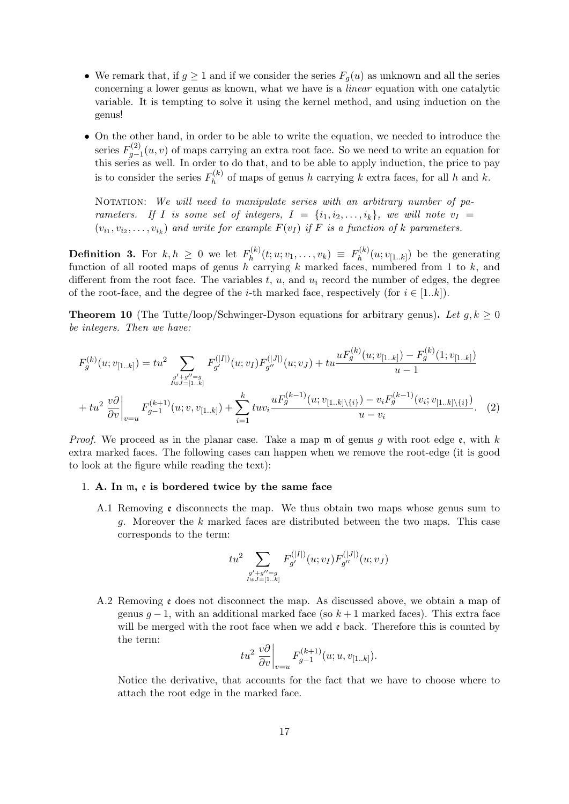- We remark that, if  $g \geq 1$  and if we consider the series  $F_q(u)$  as unknown and all the series concerning a lower genus as known, what we have is a linear equation with one catalytic variable. It is tempting to solve it using the kernel method, and using induction on the genus!
- On the other hand, in order to be able to write the equation, we needed to introduce the series  $F_{a-}^{(2)}$  $g_{g-1}^{(2)}(u, v)$  of maps carrying an extra root face. So we need to write an equation for this series as well. In order to do that, and to be able to apply induction, the price to pay is to consider the series  $F_h^{(k)}$  $h_h^{(k)}$  of maps of genus h carrying k extra faces, for all h and k.

NOTATION: We will need to manipulate series with an arbitrary number of parameters. If I is some set of integers,  $I = \{i_1, i_2, \ldots, i_k\}$ , we will note  $v_I =$  $(v_{i_1}, v_{i_2}, \ldots, v_{i_k})$  and write for example  $F(v_I)$  if F is a function of k parameters.

**Definition 3.** For  $k, h \geq 0$  we let  $F_h^{(k)}$  $f_h^{(k)}(t;u;v_1,\ldots,v_k) \; \equiv \; F_h^{(k)}$  $h^{(k)}(u;v_{[1..k]})$  be the generating function of all rooted maps of genus h carrying k marked faces, numbered from 1 to  $k$ , and different from the root face. The variables  $t, u$ , and  $u_i$  record the number of edges, the degree of the root-face, and the degree of the *i*-th marked face, respectively (for  $i \in [1..k]$ ).

**Theorem 10** (The Tutte/loop/Schwinger-Dyson equations for arbitrary genus). Let  $g, k \geq 0$ be integers. Then we have:

$$
F_g^{(k)}(u; v_{[1..k]}) = tu^2 \sum_{\substack{g' + g'' = g\\h \neq j = [1..k]}} F_{g'}^{(|I|)}(u; v_I) F_{g''}^{(|J|)}(u; v_J) + tu \frac{u F_g^{(k)}(u; v_{[1..k]}) - F_g^{(k)}(1; v_{[1..k]})}{u - 1}
$$
  
+ 
$$
tu^2 \frac{v \partial}{\partial v} \bigg|_{v = u} F_{g-1}^{(k+1)}(u; v, v_{[1..k]}) + \sum_{i=1}^k tu v_i \frac{u F_g^{(k-1)}(u; v_{[1..k] \setminus \{i\}}) - v_i F_g^{(k-1)}(v_i; v_{[1..k] \setminus \{i\}})}{u - v_i}.
$$
 (2)

*Proof.* We proceed as in the planar case. Take a map  $\mathfrak{m}$  of genus g with root edge  $\mathfrak{e}$ , with k extra marked faces. The following cases can happen when we remove the root-edge (it is good to look at the figure while reading the text):

#### 1. A. In m, e is bordered twice by the same face

A.1 Removing e disconnects the map. We thus obtain two maps whose genus sum to g. Moreover the k marked faces are distributed between the two maps. This case corresponds to the term:

$$
tu^2\sum_{\substack{g'+g''=g\\I\uplus J=[1..k]}}F_{g'}^{(|I|)}(u;v_I)F_{g''}^{(|J|)}(u;v_J)
$$

A.2 Removing e does not disconnect the map. As discussed above, we obtain a map of genus  $q-1$ , with an additional marked face (so  $k+1$  marked faces). This extra face will be merged with the root face when we add  $\epsilon$  back. Therefore this is counted by the term:

$$
tu^{2}\frac{v\partial}{\partial v}\bigg|_{v=u}F_{g-1}^{(k+1)}(u;u,v_{[1..k]}).
$$

Notice the derivative, that accounts for the fact that we have to choose where to attach the root edge in the marked face.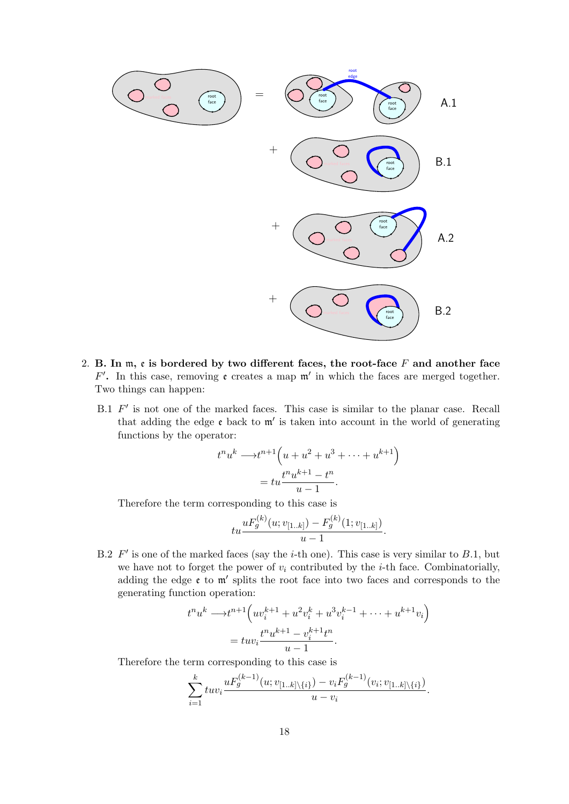

- 2. B. In  $m$ ,  $\varepsilon$  is bordered by two different faces, the root-face  $F$  and another face  $F'$ . In this case, removing  $\mathfrak{e}$  creates a map  $\mathfrak{m}'$  in which the faces are merged together. Two things can happen:
	- B.1  $F'$  is not one of the marked faces. This case is similar to the planar case. Recall that adding the edge  $\epsilon$  back to  $m'$  is taken into account in the world of generating functions by the operator:

$$
t^n u^k \longrightarrow t^{n+1} \left( u + u^2 + u^3 + \dots + u^{k+1} \right)
$$

$$
= tu \frac{t^n u^{k+1} - t^n}{u - 1}.
$$

Therefore the term corresponding to this case is

$$
tu\frac{uF_g^{(k)}(u;v_{[1..k]}) - F_g^{(k)}(1;v_{[1..k]})}{u-1}
$$

.

B.2  $F'$  is one of the marked faces (say the *i*-th one). This case is very similar to B.1, but we have not to forget the power of  $v_i$  contributed by the *i*-th face. Combinatorially, adding the edge  $\varepsilon$  to  $m'$  splits the root face into two faces and corresponds to the generating function operation:

$$
t^n u^k \longrightarrow t^{n+1} \left( u v_i^{k+1} + u^2 v_i^k + u^3 v_i^{k-1} + \dots + u^{k+1} v_i \right)
$$
  
= 
$$
t u v_i \frac{t^n u^{k+1} - v_i^{k+1} t^n}{u - 1}.
$$

Therefore the term corresponding to this case is

$$
\sum_{i=1}^{k} tuv_i \frac{uF_g^{(k-1)}(u;v_{[1..k]\setminus\{i\}}) - v_iF_g^{(k-1)}(v_i;v_{[1..k]\setminus\{i\}})}{u - v_i}.
$$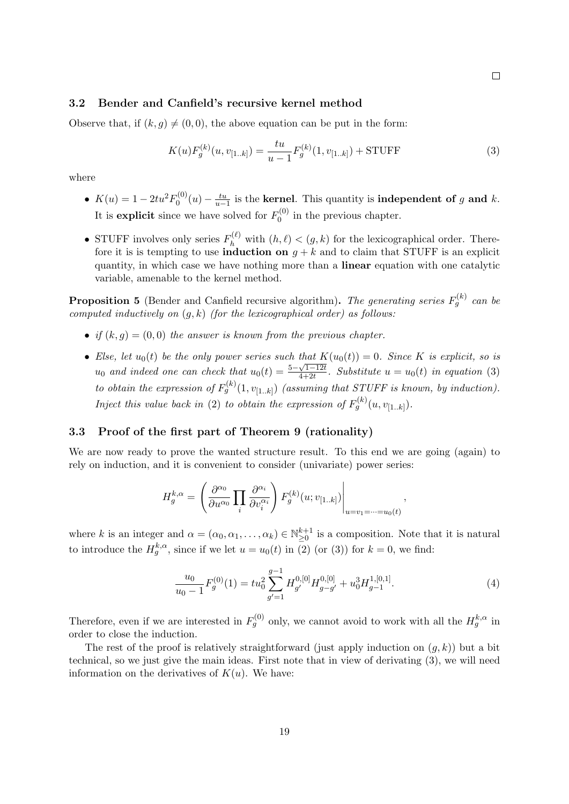## 3.2 Bender and Canfield's recursive kernel method

Observe that, if  $(k, g) \neq (0, 0)$ , the above equation can be put in the form:

$$
K(u)F_g^{(k)}(u, v_{[1..k]}) = \frac{tu}{u-1}F_g^{(k)}(1, v_{[1..k]}) + \text{STUFF}
$$
\n(3)

where

- $K(u) = 1 2tu^2 F_0^{(0)}$  $v_0^{(0)}(u) - \frac{tu}{u-1}$  is the **kernel**. This quantity is **independent of** g and k. It is explicit since we have solved for  $F_0^{(0)}$  $\int_0^{10}$  in the previous chapter.
- STUFF involves only series  $F_h^{(\ell)}$  with  $(h, \ell) < (g, k)$  for the lexicographical order. Therefore it is is tempting to use **induction** on  $q + k$  and to claim that STUFF is an explicit quantity, in which case we have nothing more than a linear equation with one catalytic variable, amenable to the kernel method.

**Proposition 5** (Bender and Canfield recursive algorithm). The generating series  $F_g^{(k)}$  can be computed inductively on  $(g, k)$  (for the lexicographical order) as follows:

- if  $(k, q) = (0, 0)$  the answer is known from the previous chapter.
- Else, let  $u_0(t)$  be the only power series such that  $K(u_0(t)) = 0$ . Since K is explicit, so is  $u_0$  and indeed one can check that  $u_0(t) = \frac{5-\sqrt{1-12t}}{4+2t}$  $\frac{\sqrt{1-12t}}{4+2t}$ . Substitute  $u=u_0(t)$  in equation (3) to obtain the expression of  $F_g^{(k)}(1, v_{[1..k]})$  (assuming that STUFF is known, by induction). Inject this value back in (2) to obtain the expression of  $F_g^{(k)}(u, v_{[1..k]})$ .

#### 3.3 Proof of the first part of Theorem 9 (rationality)

We are now ready to prove the wanted structure result. To this end we are going (again) to rely on induction, and it is convenient to consider (univariate) power series:

$$
H_g^{k,\alpha} = \left(\frac{\partial^{\alpha_0}}{\partial u^{\alpha_0}} \prod_i \frac{\partial^{\alpha_i}}{\partial v_i^{\alpha_i}}\right) F_g^{(k)}(u;v_{[1..k]})\Big|_{u=v_1=\dots=v_0(t)},
$$

where k is an integer and  $\alpha = (\alpha_0, \alpha_1, \dots, \alpha_k) \in \mathbb{N}_{\geq 0}^{k+1}$  is a composition. Note that it is natural to introduce the  $H_g^{k,\alpha}$ , since if we let  $u = u_0(t)$  in (2) (or (3)) for  $k = 0$ , we find:

$$
\frac{u_0}{u_0 - 1} F_g^{(0)}(1) = t u_0^2 \sum_{g'=1}^{g-1} H_{g'}^{0,[0]} H_{g-g'}^{0,[0]} + u_0^3 H_{g-1}^{1,[0,1]}.
$$
\n
$$
\tag{4}
$$

Therefore, even if we are interested in  $F_g^{(0)}$  only, we cannot avoid to work with all the  $H_g^{k,\alpha}$  in order to close the induction.

The rest of the proof is relatively straightforward (just apply induction on  $(q, k)$ ) but a bit technical, so we just give the main ideas. First note that in view of derivating (3), we will need information on the derivatives of  $K(u)$ . We have:

 $\Box$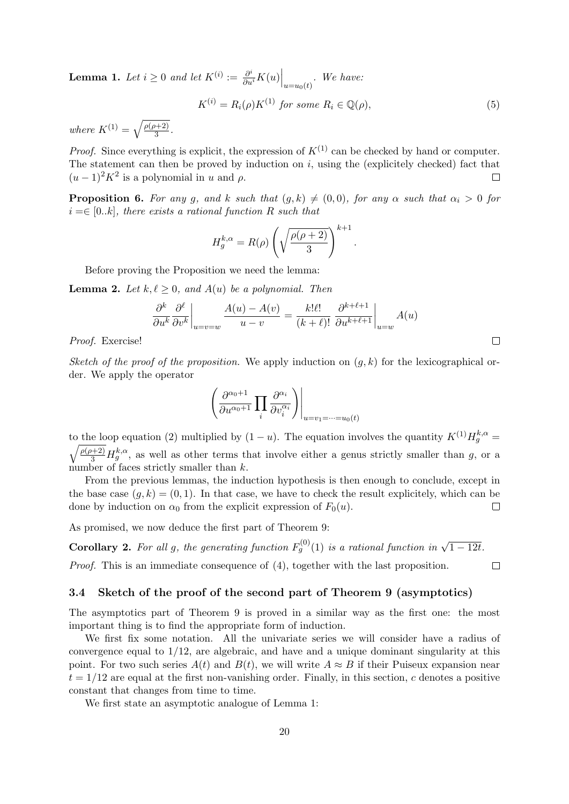**Lemma 1.** Let  $i \geq 0$  and let  $K^{(i)} := \frac{\partial^i}{\partial u^i} K(u) \Big|_{u=u_0(t)}$ . We have:

$$
K^{(i)} = R_i(\rho)K^{(1)} \text{ for some } R_i \in \mathbb{Q}(\rho), \tag{5}
$$

where  $K^{(1)} = \sqrt{\frac{\rho(\rho+2)}{3}}$  $\frac{1+2j}{3}$ .

*Proof.* Since everything is explicit, the expression of  $K^{(1)}$  can be checked by hand or computer. The statement can then be proved by induction on  $i$ , using the (explicitely checked) fact that  $(u-1)^2 K^2$  is a polynomial in u and  $\rho$ .  $\Box$ 

**Proposition 6.** For any g, and k such that  $(g, k) \neq (0, 0)$ , for any  $\alpha$  such that  $\alpha_i > 0$  for  $i = \in [0..k]$ , there exists a rational function R such that

$$
H_g^{k,\alpha} = R(\rho) \left( \sqrt{\frac{\rho(\rho+2)}{3}} \right)^{k+1}.
$$

Before proving the Proposition we need the lemma:

**Lemma 2.** Let  $k, \ell \geq 0$ , and  $A(u)$  be a polynomial. Then

$$
\left. \frac{\partial^k}{\partial u^k} \frac{\partial^\ell}{\partial v^k} \right|_{u=v=w} \frac{A(u) - A(v)}{u - v} = \frac{k!\ell!}{(k + \ell)!} \left. \frac{\partial^{k+\ell+1}}{\partial u^{k+\ell+1}} \right|_{u=w} A(u)
$$

Proof. Exercise!

Sketch of the proof of the proposition. We apply induction on  $(q, k)$  for the lexicographical order. We apply the operator

$$
\left(\frac{\partial^{\alpha_0+1}}{\partial u^{\alpha_0+1}} \prod_i \frac{\partial^{\alpha_i}}{\partial v_i^{\alpha_i}}\right)\Big|_{u=v_1=\dots=u_0(t)}
$$

to the loop equation (2) multiplied by  $(1 - u)$ . The equation involves the quantity  $K^{(1)}H_g^{k,\alpha} =$  $\sqrt{\frac{\rho(\rho+2)}{3}}H_g^{k,\alpha}$ , as well as other terms that involve either a genus strictly smaller than g, or a number of faces strictly smaller than k.

From the previous lemmas, the induction hypothesis is then enough to conclude, except in the base case  $(g, k) = (0, 1)$ . In that case, we have to check the result explicitely, which can be done by induction on  $\alpha_0$  from the explicit expression of  $F_0(u)$ .  $\Box$ 

As promised, we now deduce the first part of Theorem 9:

**Corollary 2.** For all g, the generating function  $F_g^{(0)}(1)$  is a rational function in  $\sqrt{1-12t}$ .

Proof. This is an immediate consequence of (4), together with the last proposition.

## 3.4 Sketch of the proof of the second part of Theorem 9 (asymptotics)

The asymptotics part of Theorem 9 is proved in a similar way as the first one: the most important thing is to find the appropriate form of induction.

We first fix some notation. All the univariate series we will consider have a radius of convergence equal to 1/12, are algebraic, and have and a unique dominant singularity at this point. For two such series  $A(t)$  and  $B(t)$ , we will write  $A \approx B$  if their Puiseux expansion near  $t = 1/12$  are equal at the first non-vanishing order. Finally, in this section, c denotes a positive constant that changes from time to time.

We first state an asymptotic analogue of Lemma 1:

 $\Box$ 

 $\Box$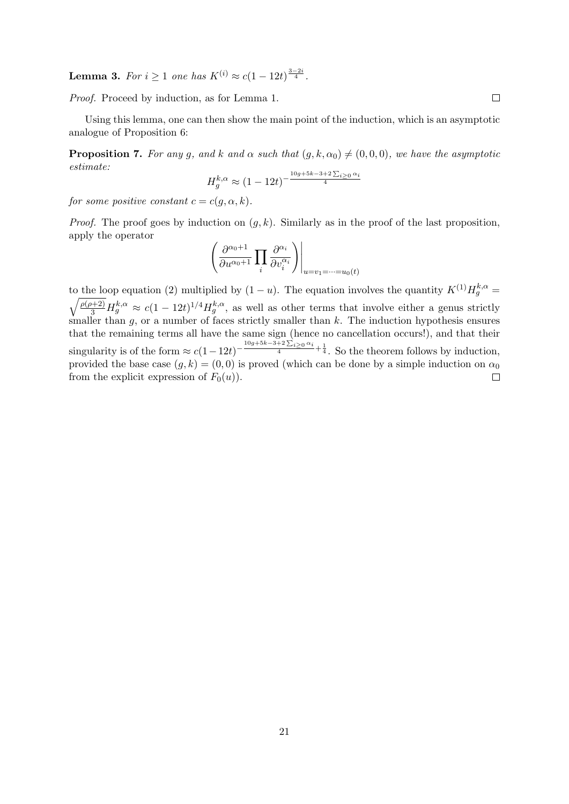**Lemma 3.** For  $i \ge 1$  one has  $K^{(i)} \approx c(1 - 12t)^{\frac{3-2i}{4}}$ .

Proof. Proceed by induction, as for Lemma 1.

Using this lemma, one can then show the main point of the induction, which is an asymptotic analogue of Proposition 6:

**Proposition 7.** For any g, and k and  $\alpha$  such that  $(g, k, \alpha_0) \neq (0, 0, 0)$ , we have the asymptotic estimate:

$$
H_g^{k,\alpha} \approx (1 - 12t)^{-\frac{10g + 5k - 3 + 2\sum_{i \ge 0} \alpha_i}{4}}
$$

for some positive constant  $c = c(g, \alpha, k)$ .

*Proof.* The proof goes by induction on  $(g, k)$ . Similarly as in the proof of the last proposition, apply the operator

$$
\left(\frac{\partial^{\alpha_0+1}}{\partial u^{\alpha_0+1}}\prod_i \frac{\partial^{\alpha_i}}{\partial v_i^{\alpha_i}}\right)\Big|_{u=v_1=\dots=v_0(t)}
$$

to the loop equation (2) multiplied by  $(1 - u)$ . The equation involves the quantity  $K^{(1)}H_g^{k,\alpha} =$  $\sqrt{\frac{\rho(\rho+2)}{3}}H_g^{k,\alpha} \approx c(1-12t)^{1/4}H_g^{k,\alpha}$ , as well as other terms that involve either a genus strictly smaller than  $g$ , or a number of faces strictly smaller than  $k$ . The induction hypothesis ensures that the remaining terms all have the same sign (hence no cancellation occurs!), and that their singularity is of the form  $\approx c(1-12t)^{-\frac{10g+5k-3+2\sum_{i\geq 0}\alpha_i}{4}+\frac{1}{4}}$ . So the theorem follows by induction, provided the base case  $(g, k) = (0, 0)$  is proved (which can be done by a simple induction on  $\alpha_0$ from the explicit expression of  $F_0(u)$ .  $\Box$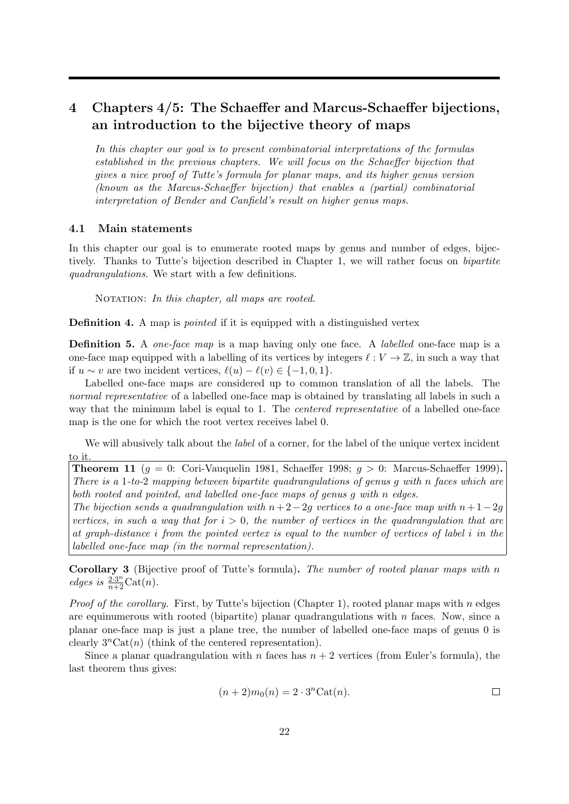## 4 Chapters 4/5: The Schaeffer and Marcus-Schaeffer bijections, an introduction to the bijective theory of maps

In this chapter our goal is to present combinatorial interpretations of the formulas established in the previous chapters. We will focus on the Schaeffer bijection that gives a nice proof of Tutte's formula for planar maps, and its higher genus version (known as the Marcus-Schaeffer bijection) that enables a (partial) combinatorial interpretation of Bender and Canfield's result on higher genus maps.

## 4.1 Main statements

In this chapter our goal is to enumerate rooted maps by genus and number of edges, bijectively. Thanks to Tutte's bijection described in Chapter 1, we will rather focus on bipartite quadrangulations. We start with a few definitions.

NOTATION: In this chapter, all maps are rooted.

**Definition 4.** A map is *pointed* if it is equipped with a distinguished vertex

**Definition 5.** A *one-face map* is a map having only one face. A *labelled* one-face map is a one-face map equipped with a labelling of its vertices by integers  $\ell : V \to \mathbb{Z}$ , in such a way that if  $u \sim v$  are two incident vertices,  $\ell(u) - \ell(v) \in \{-1, 0, 1\}.$ 

Labelled one-face maps are considered up to common translation of all the labels. The normal representative of a labelled one-face map is obtained by translating all labels in such a way that the minimum label is equal to 1. The *centered representative* of a labelled one-face map is the one for which the root vertex receives label 0.

We will abusively talk about the *label* of a corner, for the label of the unique vertex incident to it.

**Theorem 11** ( $q = 0$ : Cori-Vauquelin 1981, Schaeffer 1998;  $q > 0$ : Marcus-Schaeffer 1999). There is a 1-to-2 mapping between bipartite quadrangulations of genus g with n faces which are both rooted and pointed, and labelled one-face maps of genus g with n edges.

The bijection sends a quadrangulation with  $n+2-2q$  vertices to a one-face map with  $n+1-2q$ vertices, in such a way that for  $i > 0$ , the number of vertices in the quadrangulation that are at graph-distance i from the pointed vertex is equal to the number of vertices of label i in the labelled one-face map (in the normal representation).

Corollary 3 (Bijective proof of Tutte's formula). The number of rooted planar maps with n edges is  $\frac{2 \cdot 3^n}{n+2}$ Cat $(n)$ .

*Proof of the corollary.* First, by Tutte's bijection (Chapter 1), rooted planar maps with n edges are equinumerous with rooted (bipartite) planar quadrangulations with  $n$  faces. Now, since a planar one-face map is just a plane tree, the number of labelled one-face maps of genus 0 is clearly  $3^n\text{Cat}(n)$  (think of the centered representation).

Since a planar quadrangulation with n faces has  $n + 2$  vertices (from Euler's formula), the last theorem thus gives:

$$
(n+2)m_0(n) = 2 \cdot 3^n \text{Cat}(n).
$$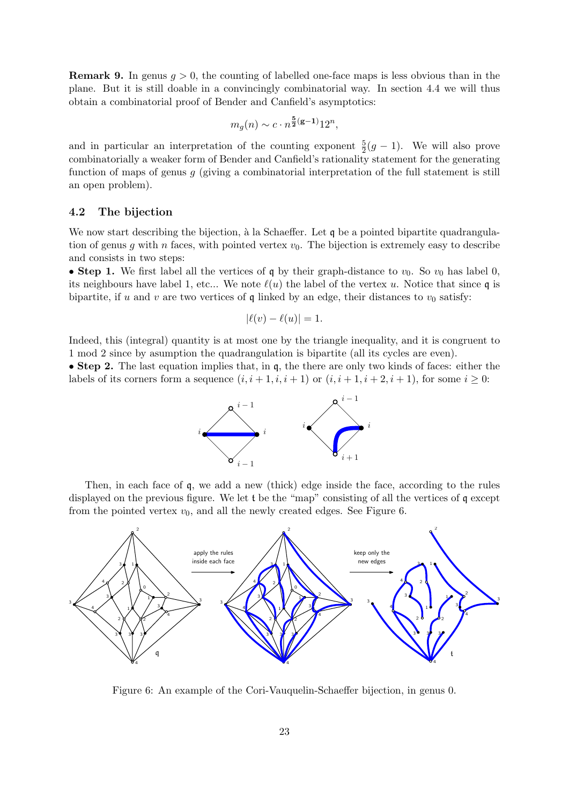**Remark 9.** In genus  $g > 0$ , the counting of labelled one-face maps is less obvious than in the plane. But it is still doable in a convincingly combinatorial way. In section 4.4 we will thus obtain a combinatorial proof of Bender and Canfield's asymptotics:

$$
m_g(n) \sim c \cdot n^{\frac{5}{2}(\mathbf{g}-1)} 12^n,
$$

and in particular an interpretation of the counting exponent  $\frac{5}{2}(g-1)$ . We will also prove combinatorially a weaker form of Bender and Canfield's rationality statement for the generating function of maps of genus  $q$  (giving a combinatorial interpretation of the full statement is still an open problem).

## 4.2 The bijection

We now start describing the bijection, à la Schaeffer. Let  $\mathfrak q$  be a pointed bipartite quadrangulation of genus g with n faces, with pointed vertex  $v_0$ . The bijection is extremely easy to describe and consists in two steps:

• Step 1. We first label all the vertices of q by their graph-distance to  $v_0$ . So  $v_0$  has label 0, its neighbours have label 1, etc... We note  $\ell(u)$  the label of the vertex u. Notice that since q is bipartite, if u and v are two vertices of  $\mathfrak q$  linked by an edge, their distances to  $v_0$  satisfy:

$$
|\ell(v) - \ell(u)| = 1.
$$

Indeed, this (integral) quantity is at most one by the triangle inequality, and it is congruent to 1 mod 2 since by asumption the quadrangulation is bipartite (all its cycles are even).

• Step 2. The last equation implies that, in q, the there are only two kinds of faces: either the labels of its corners form a sequence  $(i, i + 1, i, i + 1)$  or  $(i, i + 1, i + 2, i + 1)$ , for some  $i \geq 0$ :



Then, in each face of q, we add a new (thick) edge inside the face, according to the rules displayed on the previous figure. We let t be the "map" consisting of all the vertices of q except from the pointed vertex  $v_0$ , and all the newly created edges. See Figure 6.



Figure 6: An example of the Cori-Vauquelin-Schaeffer bijection, in genus 0.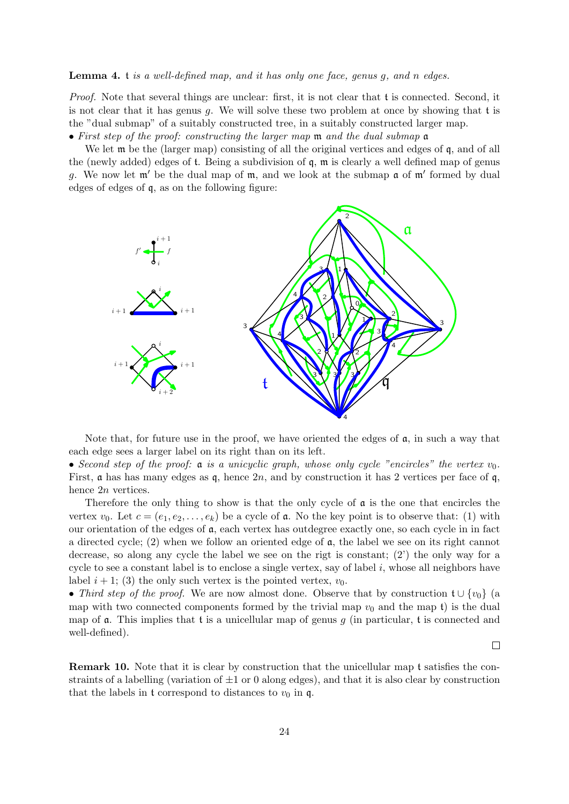#### Lemma 4. t is a well-defined map, and it has only one face, genus g, and n edges.

Proof. Note that several things are unclear: first, it is not clear that t is connected. Second, it is not clear that it has genus q. We will solve these two problem at once by showing that  $t$  is the "dual submap" of a suitably constructed tree, in a suitably constructed larger map.

• First step of the proof: constructing the larger map m and the dual submap a

We let  $\mathfrak m$  be the (larger map) consisting of all the original vertices and edges of  $\mathfrak q$ , and of all the (newly added) edges of t. Being a subdivision of q, m is clearly a well defined map of genus g. We now let  $m'$  be the dual map of  $m$ , and we look at the submap  $a$  of  $m'$  formed by dual edges of edges of q, as on the following figure:



Note that, for future use in the proof, we have oriented the edges of  $a$ , in such a way that each edge sees a larger label on its right than on its left.

• Second step of the proof:  $\alpha$  is a unicyclic graph, whose only cycle "encircles" the vertex  $v_0$ . First,  $\alpha$  has has many edges as  $\mathfrak{q}$ , hence  $2n$ , and by construction it has 2 vertices per face of  $\mathfrak{q}$ , hence 2n vertices.

Therefore the only thing to show is that the only cycle of  $\mathfrak a$  is the one that encircles the vertex  $v_0$ . Let  $c = (e_1, e_2, \ldots, e_k)$  be a cycle of **a**. No the key point is to observe that: (1) with our orientation of the edges of  $a$ , each vertex has outdegree exactly one, so each cycle in in fact a directed cycle; (2) when we follow an oriented edge of a, the label we see on its right cannot decrease, so along any cycle the label we see on the rigt is constant; (2') the only way for a cycle to see a constant label is to enclose a single vertex, say of label i, whose all neighbors have label  $i + 1$ ; (3) the only such vertex is the pointed vertex,  $v_0$ .

• Third step of the proof. We are now almost done. Observe that by construction  $\mathfrak{t} \cup \{v_0\}$  (a map with two connected components formed by the trivial map  $v_0$  and the map t) is the dual map of  $\alpha$ . This implies that t is a unicellular map of genus g (in particular, t is connected and well-defined).

 $\Box$ 

Remark 10. Note that it is clear by construction that the unicellular map t satisfies the constraints of a labelling (variation of  $\pm 1$  or 0 along edges), and that it is also clear by construction that the labels in t correspond to distances to  $v_0$  in q.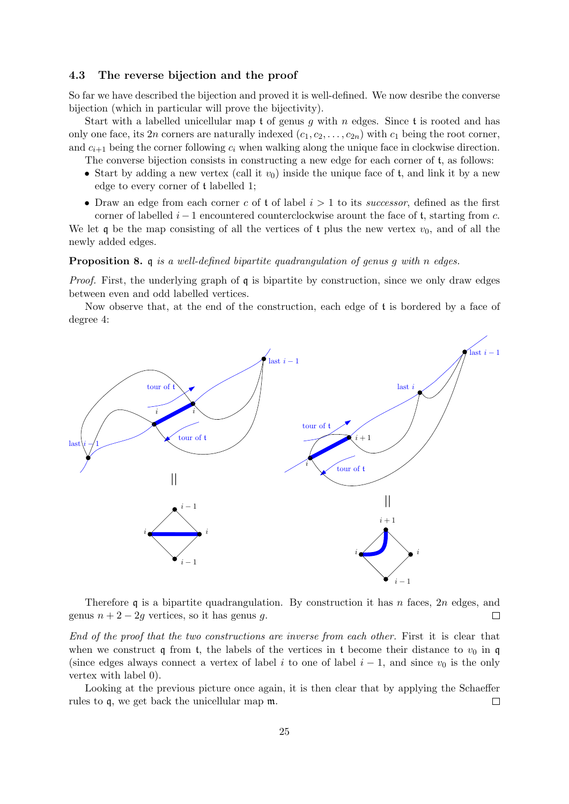#### 4.3 The reverse bijection and the proof

So far we have described the bijection and proved it is well-defined. We now desribe the converse bijection (which in particular will prove the bijectivity).

Start with a labelled unicellular map t of genus q with n edges. Since t is rooted and has only one face, its 2n corners are naturally indexed  $(c_1, c_2, \ldots, c_{2n})$  with  $c_1$  being the root corner, and  $c_{i+1}$  being the corner following  $c_i$  when walking along the unique face in clockwise direction.

The converse bijection consists in constructing a new edge for each corner of t, as follows:

- Start by adding a new vertex (call it  $v_0$ ) inside the unique face of t, and link it by a new edge to every corner of t labelled 1;
- Draw an edge from each corner c of t of label  $i > 1$  to its successor, defined as the first corner of labelled  $i - 1$  encountered counterclockwise arount the face of t, starting from c.

We let q be the map consisting of all the vertices of t plus the new vertex  $v_0$ , and of all the newly added edges.

Proposition 8. q is a well-defined bipartite quadrangulation of genus g with n edges.

*Proof.* First, the underlying graph of  $\mathfrak q$  is bipartite by construction, since we only draw edges between even and odd labelled vertices.

Now observe that, at the end of the construction, each edge of t is bordered by a face of degree 4:



Therefore q is a bipartite quadrangulation. By construction it has n faces, 2n edges, and genus  $n + 2 - 2q$  vertices, so it has genus q.  $\Box$ 

End of the proof that the two constructions are inverse from each other. First it is clear that when we construct q from t, the labels of the vertices in t become their distance to  $v_0$  in q (since edges always connect a vertex of label i to one of label  $i - 1$ , and since  $v_0$  is the only vertex with label 0).

Looking at the previous picture once again, it is then clear that by applying the Schaeffer rules to q, we get back the unicellular map m.  $\Box$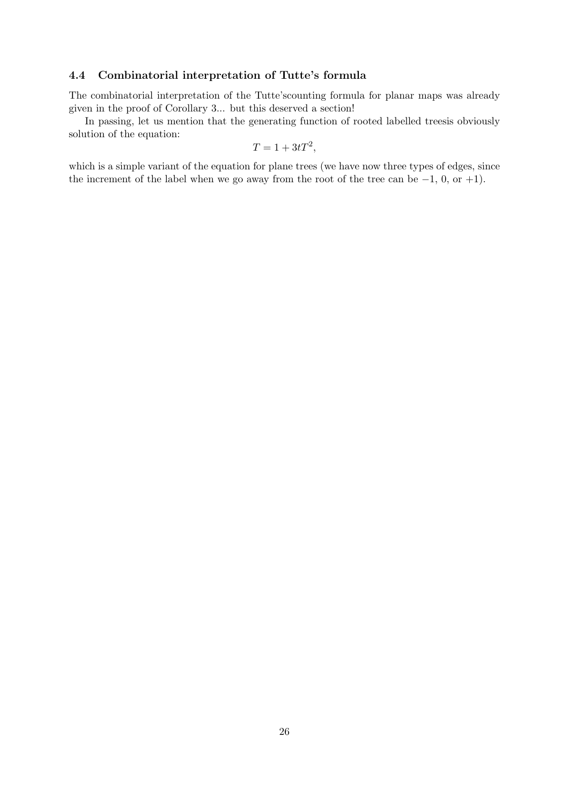## 4.4 Combinatorial interpretation of Tutte's formula

The combinatorial interpretation of the Tutte'scounting formula for planar maps was already given in the proof of Corollary 3... but this deserved a section!

In passing, let us mention that the generating function of rooted labelled treesis obviously solution of the equation:

$$
T = 1 + 3tT^2,
$$

which is a simple variant of the equation for plane trees (we have now three types of edges, since the increment of the label when we go away from the root of the tree can be  $-1$ , 0, or  $+1$ ).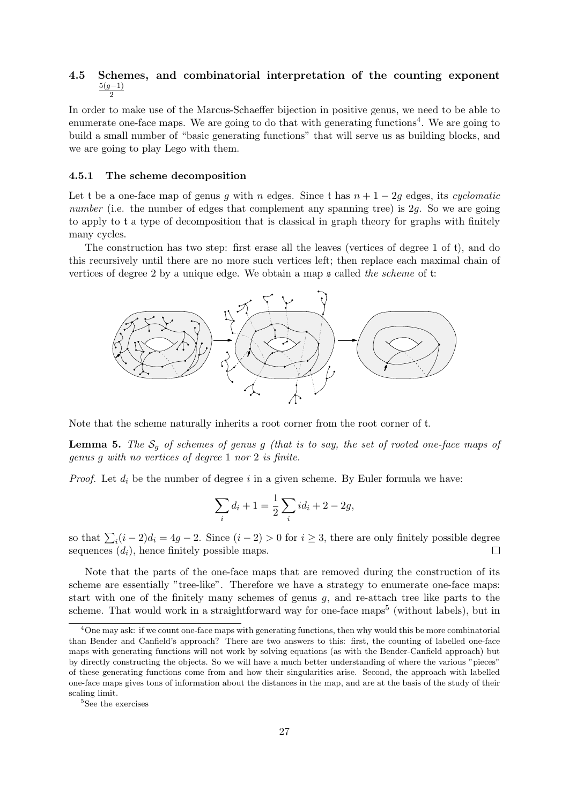#### 4.5 Schemes, and combinatorial interpretation of the counting exponent  $5(g-1)$ 2

In order to make use of the Marcus-Schaeffer bijection in positive genus, we need to be able to enumerate one-face maps. We are going to do that with generating functions<sup>4</sup>. We are going to build a small number of "basic generating functions" that will serve us as building blocks, and we are going to play Lego with them.

#### 4.5.1 The scheme decomposition

Let t be a one-face map of genus g with n edges. Since t has  $n + 1 - 2q$  edges, its cyclomatic number (i.e. the number of edges that complement any spanning tree) is  $2q$ . So we are going to apply to t a type of decomposition that is classical in graph theory for graphs with finitely many cycles.

The construction has two step: first erase all the leaves (vertices of degree 1 of t), and do this recursively until there are no more such vertices left; then replace each maximal chain of vertices of degree 2 by a unique edge. We obtain a map s called the scheme of t:



Note that the scheme naturally inherits a root corner from the root corner of t.

**Lemma 5.** The  $S_q$  of schemes of genus g (that is to say, the set of rooted one-face maps of genus g with no vertices of degree 1 nor 2 is finite.

*Proof.* Let  $d_i$  be the number of degree i in a given scheme. By Euler formula we have:

$$
\sum_{i} d_i + 1 = \frac{1}{2} \sum_{i} id_i + 2 - 2g,
$$

so that  $\sum_i (i-2)d_i = 4g - 2$ . Since  $(i-2) > 0$  for  $i \ge 3$ , there are only finitely possible degree sequences  $(d_i)$ , hence finitely possible maps.

Note that the parts of the one-face maps that are removed during the construction of its scheme are essentially "tree-like". Therefore we have a strategy to enumerate one-face maps: start with one of the finitely many schemes of genus g, and re-attach tree like parts to the scheme. That would work in a straightforward way for one-face maps<sup>5</sup> (without labels), but in

 $^{4}$ One may ask: if we count one-face maps with generating functions, then why would this be more combinatorial than Bender and Canfield's approach? There are two answers to this: first, the counting of labelled one-face maps with generating functions will not work by solving equations (as with the Bender-Canfield approach) but by directly constructing the objects. So we will have a much better understanding of where the various "pieces" of these generating functions come from and how their singularities arise. Second, the approach with labelled one-face maps gives tons of information about the distances in the map, and are at the basis of the study of their scaling limit.

 $^5{\rm{See}}$  the exercises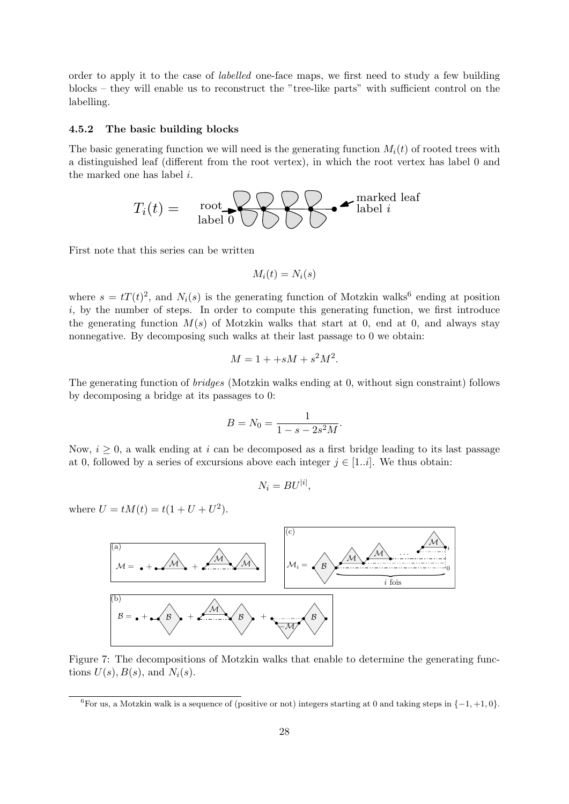order to apply it to the case of labelled one-face maps, we first need to study a few building blocks – they will enable us to reconstruct the "tree-like parts" with sufficient control on the labelling.

#### 4.5.2 The basic building blocks

The basic generating function we will need is the generating function  $M_i(t)$  of rooted trees with a distinguished leaf (different from the root vertex), in which the root vertex has label 0 and the marked one has label i.



First note that this series can be written

$$
M_i(t) = N_i(s)
$$

where  $s = tT(t)^2$ , and  $N_i(s)$  is the generating function of Motzkin walks<sup>6</sup> ending at position  $i$ , by the number of steps. In order to compute this generating function, we first introduce the generating function  $M(s)$  of Motzkin walks that start at 0, end at 0, and always stay nonnegative. By decomposing such walks at their last passage to 0 we obtain:

$$
M = 1 + sM + s^2M^2.
$$

The generating function of *bridges* (Motzkin walks ending at 0, without sign constraint) follows by decomposing a bridge at its passages to 0:

$$
B = N_0 = \frac{1}{1 - s - 2s^2 M}.
$$

Now,  $i \geq 0$ , a walk ending at i can be decomposed as a first bridge leading to its last passage at 0, followed by a series of excursions above each integer  $j \in [1..i]$ . We thus obtain:

$$
N_i = BU^{|i|},
$$

where  $U = tM(t) = t(1 + U + U^2)$ .



Figure 7: The decompositions of Motzkin walks that enable to determine the generating functions  $U(s)$ ,  $B(s)$ , and  $N_i(s)$ .

<sup>&</sup>lt;sup>6</sup>For us, a Motzkin walk is a sequence of (positive or not) integers starting at 0 and taking steps in  $\{-1, +1, 0\}$ .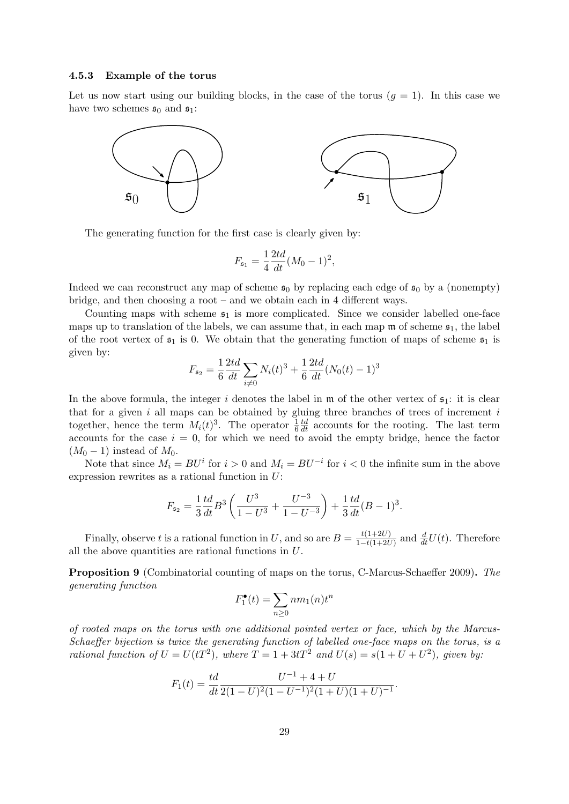#### 4.5.3 Example of the torus

Let us now start using our building blocks, in the case of the torus  $(g = 1)$ . In this case we have two schemes  $\mathfrak{s}_0$  and  $\mathfrak{s}_1$ :



The generating function for the first case is clearly given by:

$$
F_{\mathfrak{s}_1} = \frac{1}{4} \frac{2td}{dt} (M_0 - 1)^2,
$$

Indeed we can reconstruct any map of scheme  $s_0$  by replacing each edge of  $s_0$  by a (nonempty) bridge, and then choosing a root – and we obtain each in 4 different ways.

Counting maps with scheme  $s<sub>1</sub>$  is more complicated. Since we consider labelled one-face maps up to translation of the labels, we can assume that, in each map  $\mathfrak m$  of scheme  $\mathfrak s_1$ , the label of the root vertex of  $s_1$  is 0. We obtain that the generating function of maps of scheme  $s_1$  is given by:

$$
F_{\mathfrak{s}_2} = \frac{1}{6} \frac{2td}{dt} \sum_{i \neq 0} N_i(t)^3 + \frac{1}{6} \frac{2td}{dt} (N_0(t) - 1)^3
$$

In the above formula, the integer i denotes the label in  $\mathfrak{m}$  of the other vertex of  $\mathfrak{s}_1$ : it is clear that for a given i all maps can be obtained by gluing three branches of trees of increment i together, hence the term  $M_i(t)^3$ . The operator  $\frac{1}{6}$  $\frac{td}{dt}$  accounts for the rooting. The last term accounts for the case  $i = 0$ , for which we need to avoid the empty bridge, hence the factor  $(M_0 - 1)$  instead of  $M_0$ .

Note that since  $M_i = BU^i$  for  $i > 0$  and  $M_i = BU^{-i}$  for  $i < 0$  the infinite sum in the above expression rewrites as a rational function in U:

$$
F_{\mathfrak{s}_2} = \frac{1}{3} \frac{td}{dt} B^3 \left( \frac{U^3}{1 - U^3} + \frac{U^{-3}}{1 - U^{-3}} \right) + \frac{1}{3} \frac{td}{dt} (B - 1)^3.
$$

Finally, observe t is a rational function in U, and so are  $B = \frac{t(1+2U)}{1-t(1+2U)}$  $\frac{t(1+2U)}{1-t(1+2U)}$  and  $\frac{d}{dt}U(t)$ . Therefore all the above quantities are rational functions in U.

Proposition 9 (Combinatorial counting of maps on the torus, C-Marcus-Schaeffer 2009). The generating function

$$
F_1^{\bullet}(t) = \sum_{n \ge 0} nm_1(n) t^n
$$

of rooted maps on the torus with one additional pointed vertex or face, which by the Marcus-Schaeffer bijection is twice the generating function of labelled one-face maps on the torus, is a rational function of  $U = U(tT^2)$ , where  $T = 1 + 3tT^2$  and  $U(s) = s(1 + U + U^2)$ , given by:

$$
F_1(t) = \frac{td}{dt} \frac{U^{-1} + 4 + U}{2(1 - U)^2 (1 - U^{-1})^2 (1 + U)(1 + U)^{-1}}.
$$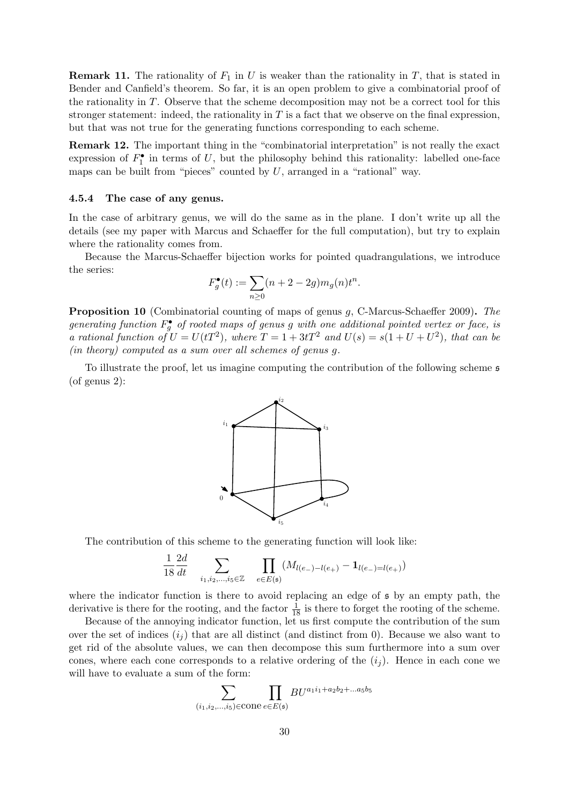**Remark 11.** The rationality of  $F_1$  in U is weaker than the rationality in T, that is stated in Bender and Canfield's theorem. So far, it is an open problem to give a combinatorial proof of the rationality in  $T$ . Observe that the scheme decomposition may not be a correct tool for this stronger statement: indeed, the rationality in  $T$  is a fact that we observe on the final expression, but that was not true for the generating functions corresponding to each scheme.

Remark 12. The important thing in the "combinatorial interpretation" is not really the exact expression of  $F_1^{\bullet}$  in terms of U, but the philosophy behind this rationality: labelled one-face maps can be built from "pieces" counted by  $U$ , arranged in a "rational" way.

## 4.5.4 The case of any genus.

In the case of arbitrary genus, we will do the same as in the plane. I don't write up all the details (see my paper with Marcus and Schaeffer for the full computation), but try to explain where the rationality comes from.

Because the Marcus-Schaeffer bijection works for pointed quadrangulations, we introduce the series:

$$
F_g^{\bullet}(t) := \sum_{n \ge 0} (n + 2 - 2g) m_g(n) t^n.
$$

Proposition 10 (Combinatorial counting of maps of genus g, C-Marcus-Schaeffer 2009). The generating function  $F_g^{\bullet}$  of rooted maps of genus g with one additional pointed vertex or face, is a rational function of  $U = U(tT^2)$ , where  $T = 1 + 3tT^2$  and  $U(s) = s(1 + U + U^2)$ , that can be (in theory) computed as a sum over all schemes of genus g.

To illustrate the proof, let us imagine computing the contribution of the following scheme s (of genus 2):



The contribution of this scheme to the generating function will look like:

$$
\frac{1}{18} \frac{2d}{dt} \sum_{i_1, i_2, \dots, i_5 \in \mathbb{Z}} \prod_{e \in E(\mathfrak{s})} (M_{l(e_-)-l(e_+)} - \mathbf{1}_{l(e_-)=l(e_+)})
$$

where the indicator function is there to avoid replacing an edge of s by an empty path, the derivative is there for the rooting, and the factor  $\frac{1}{18}$  is there to forget the rooting of the scheme.

Because of the annoying indicator function, let us first compute the contribution of the sum over the set of indices  $(i<sub>i</sub>)$  that are all distinct (and distinct from 0). Because we also want to get rid of the absolute values, we can then decompose this sum furthermore into a sum over cones, where each cone corresponds to a relative ordering of the  $(i<sub>i</sub>)$ . Hence in each cone we will have to evaluate a sum of the form:

$$
\sum_{(i_1,i_2,\ldots,i_5)\in\text{cone}}\prod_{e\in E(\mathfrak{s})}BU^{a_1i_1+a_2b_2+\ldots a_5b_5}
$$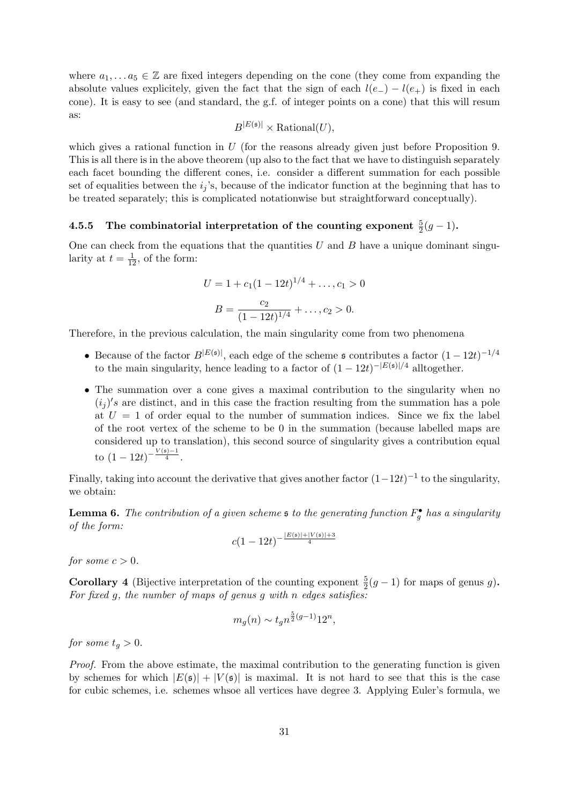where  $a_1, \ldots, a_5 \in \mathbb{Z}$  are fixed integers depending on the cone (they come from expanding the absolute values explicitely, given the fact that the sign of each  $l(e_{-}) - l(e_{+})$  is fixed in each cone). It is easy to see (and standard, the g.f. of integer points on a cone) that this will resum as:

$$
B^{|E(\mathfrak{s})|} \times \text{Rational}(U),
$$

which gives a rational function in  $U$  (for the reasons already given just before Proposition 9. This is all there is in the above theorem (up also to the fact that we have to distinguish separately each facet bounding the different cones, i.e. consider a different summation for each possible set of equalities between the  $i_j$ 's, because of the indicator function at the beginning that has to be treated separately; this is complicated notationwise but straightforward conceptually).

## 4.5.5 The combinatorial interpretation of the counting exponent  $\frac{5}{2}(g-1)$ .

One can check from the equations that the quantities  $U$  and  $B$  have a unique dominant singularity at  $t = \frac{1}{12}$ , of the form:

$$
U = 1 + c_1(1 - 12t)^{1/4} + \dots, c_1 > 0
$$

$$
B = \frac{c_2}{(1 - 12t)^{1/4}} + \dots, c_2 > 0.
$$

Therefore, in the previous calculation, the main singularity come from two phenomena

- Because of the factor  $B^{|E(\mathfrak{s})|}$ , each edge of the scheme  $\mathfrak{s}$  contributes a factor  $(1-12t)^{-1/4}$ to the main singularity, hence leading to a factor of  $(1 - 12t)^{-|E(s)|/4}$  alltogether.
- The summation over a cone gives a maximal contribution to the singularity when no  $(i_j)'s$  are distinct, and in this case the fraction resulting from the summation has a pole at  $U = 1$  of order equal to the number of summation indices. Since we fix the label of the root vertex of the scheme to be 0 in the summation (because labelled maps are considered up to translation), this second source of singularity gives a contribution equal to  $(1-12t)^{-\frac{V(s)-1}{4}}$ .

Finally, taking into account the derivative that gives another factor  $(1-12t)^{-1}$  to the singularity, we obtain:

**Lemma 6.** The contribution of a given scheme **s** to the generating function  $F_g^{\bullet}$  has a singularity of the form:

$$
c(1-12t)^{-\frac{|E(\mathfrak{s})|+|V(\mathfrak{s})|+3}{4}}
$$

for some  $c > 0$ .

**Corollary 4** (Bijective interpretation of the counting exponent  $\frac{5}{2}(g-1)$  for maps of genus g). For fixed  $g$ , the number of maps of genus  $g$  with n edges satisfies:

$$
m_g(n) \sim t_g n^{\frac{5}{2}(g-1)} 12^n,
$$

for some  $t_q > 0$ .

Proof. From the above estimate, the maximal contribution to the generating function is given by schemes for which  $|E(\mathfrak{s})| + |V(\mathfrak{s})|$  is maximal. It is not hard to see that this is the case for cubic schemes, i.e. schemes whsoe all vertices have degree 3. Applying Euler's formula, we